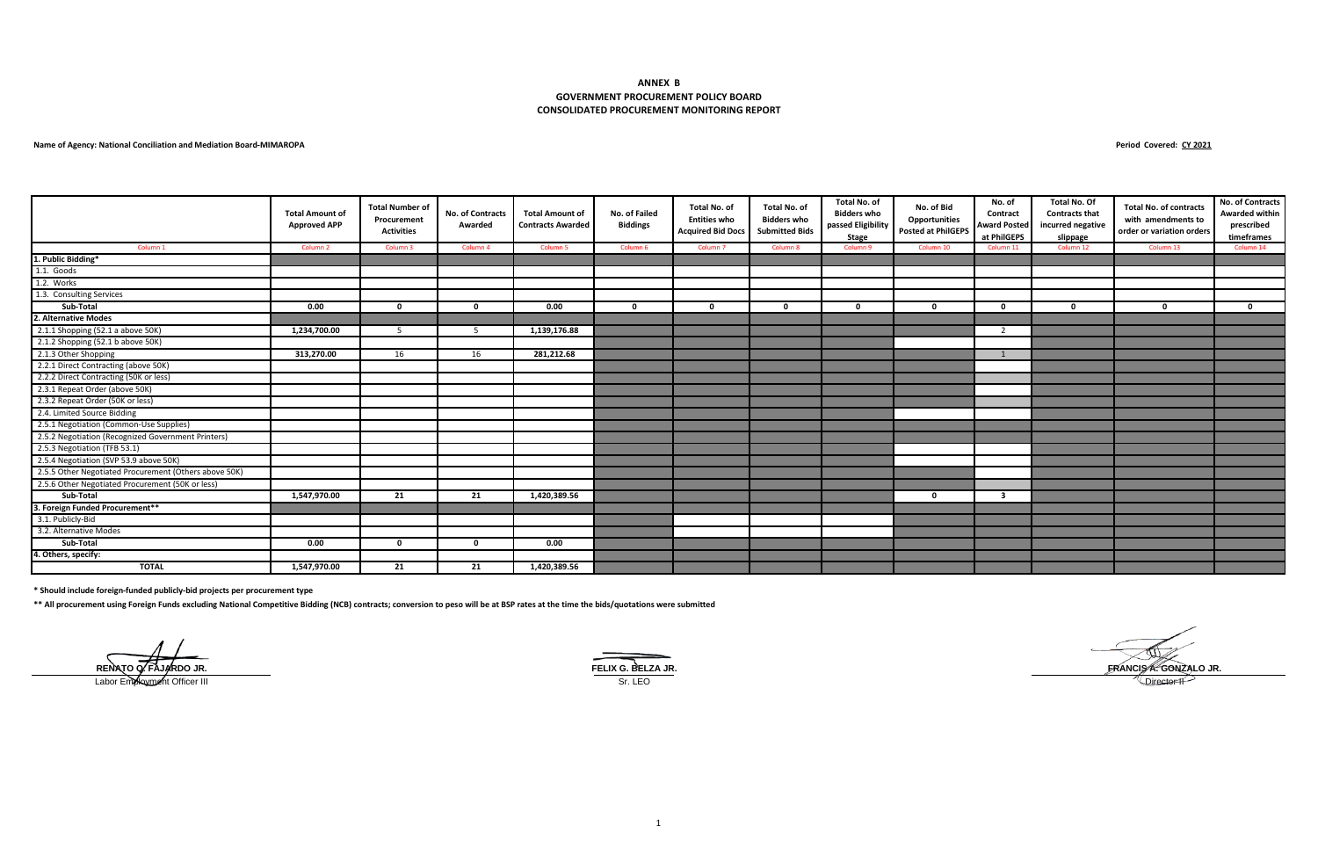#### **CONSOLIDATED PROCUREMENT MONITORING REPORT ANNEX B GOVERNMENT PROCUREMENT POLICY BOARD**

#### **Name of Agency: National Conciliation and Mediation Board-MIMAROPA**

**Period Covered: CY 2021**

|                                                       | <b>Total Amount of</b><br><b>Approved APP</b> | <b>Total Number of</b><br>Procurement<br><b>Activities</b> | <b>No. of Contracts</b><br>Awarded | <b>Total Amount of</b><br><b>Contracts Awarded</b> | No. of Failed<br><b>Biddings</b> | Total No. of<br><b>Entities who</b><br><b>Acquired Bid Docs</b> | Total No. of<br><b>Bidders who</b><br><b>Submitted Bids</b> | Total No. of<br><b>Bidders who</b><br>passed Eligibility<br><b>Stage</b> | No. of Bid<br>Opportunities<br><b>Posted at PhilGEPS</b> | No. of<br>Contract<br><b>Award Posted</b><br>at PhilGEPS | <b>Total No. Of</b><br><b>Contracts that</b><br>incurred negative<br>slippage | <b>Total No. of contracts</b><br>with amendments to<br>order or variation orders | No. of Contracts<br><b>Awarded within</b><br>prescribed<br>timeframes |
|-------------------------------------------------------|-----------------------------------------------|------------------------------------------------------------|------------------------------------|----------------------------------------------------|----------------------------------|-----------------------------------------------------------------|-------------------------------------------------------------|--------------------------------------------------------------------------|----------------------------------------------------------|----------------------------------------------------------|-------------------------------------------------------------------------------|----------------------------------------------------------------------------------|-----------------------------------------------------------------------|
| Column 1                                              | Column <sub>2</sub>                           | Column 3                                                   | Column 4                           | Column <sub>5</sub>                                | Column <sub>6</sub>              | Column <sub>7</sub>                                             | Column 8                                                    | Column 9                                                                 | Column 10                                                | Column 11                                                | Column 12                                                                     | Column 13                                                                        | Column 14                                                             |
| 1. Public Bidding*                                    |                                               |                                                            |                                    |                                                    |                                  |                                                                 |                                                             |                                                                          |                                                          |                                                          |                                                                               |                                                                                  |                                                                       |
| 1.1. Goods                                            |                                               |                                                            |                                    |                                                    |                                  |                                                                 |                                                             |                                                                          |                                                          |                                                          |                                                                               |                                                                                  |                                                                       |
| 1.2. Works                                            |                                               |                                                            |                                    |                                                    |                                  |                                                                 |                                                             |                                                                          |                                                          |                                                          |                                                                               |                                                                                  |                                                                       |
| 1.3. Consulting Services                              |                                               |                                                            |                                    |                                                    |                                  |                                                                 |                                                             |                                                                          |                                                          |                                                          |                                                                               |                                                                                  |                                                                       |
| Sub-Total                                             | 0.00                                          | 0                                                          | $\Omega$                           | 0.00                                               | $\Omega$                         | - 0                                                             | $\Omega$                                                    | n                                                                        | $\Omega$                                                 | $\Omega$                                                 | $\Omega$                                                                      | $\Omega$                                                                         | n.                                                                    |
| 2. Alternative Modes                                  |                                               |                                                            |                                    |                                                    |                                  |                                                                 |                                                             |                                                                          |                                                          |                                                          |                                                                               |                                                                                  |                                                                       |
| 2.1.1 Shopping (52.1 a above 50K)                     | 1,234,700.00                                  | -5                                                         | -5                                 | 1,139,176.88                                       |                                  |                                                                 |                                                             |                                                                          |                                                          | -2                                                       |                                                                               |                                                                                  |                                                                       |
| 2.1.2 Shopping (52.1 b above 50K)                     |                                               |                                                            |                                    |                                                    |                                  |                                                                 |                                                             |                                                                          |                                                          |                                                          |                                                                               |                                                                                  |                                                                       |
| 2.1.3 Other Shopping                                  | 313,270.00                                    | 16                                                         | 16                                 | 281,212.68                                         |                                  |                                                                 |                                                             |                                                                          |                                                          | 1                                                        |                                                                               |                                                                                  |                                                                       |
| 2.2.1 Direct Contracting (above 50K)                  |                                               |                                                            |                                    |                                                    |                                  |                                                                 |                                                             |                                                                          |                                                          |                                                          |                                                                               |                                                                                  |                                                                       |
| 2.2.2 Direct Contracting (50K or less)                |                                               |                                                            |                                    |                                                    |                                  |                                                                 |                                                             |                                                                          |                                                          |                                                          |                                                                               |                                                                                  |                                                                       |
| 2.3.1 Repeat Order (above 50K)                        |                                               |                                                            |                                    |                                                    |                                  |                                                                 |                                                             |                                                                          |                                                          |                                                          |                                                                               |                                                                                  |                                                                       |
| 2.3.2 Repeat Order (50K or less)                      |                                               |                                                            |                                    |                                                    |                                  |                                                                 |                                                             |                                                                          |                                                          |                                                          |                                                                               |                                                                                  |                                                                       |
| 2.4. Limited Source Bidding                           |                                               |                                                            |                                    |                                                    |                                  |                                                                 |                                                             |                                                                          |                                                          |                                                          |                                                                               |                                                                                  |                                                                       |
| 2.5.1 Negotiation (Common-Use Supplies)               |                                               |                                                            |                                    |                                                    |                                  |                                                                 |                                                             |                                                                          |                                                          |                                                          |                                                                               |                                                                                  |                                                                       |
| 2.5.2 Negotiation (Recognized Government Printers)    |                                               |                                                            |                                    |                                                    |                                  |                                                                 |                                                             |                                                                          |                                                          |                                                          |                                                                               |                                                                                  |                                                                       |
| 2.5.3 Negotiation (TFB 53.1)                          |                                               |                                                            |                                    |                                                    |                                  |                                                                 |                                                             |                                                                          |                                                          |                                                          |                                                                               |                                                                                  |                                                                       |
| 2.5.4 Negotiation (SVP 53.9 above 50K)                |                                               |                                                            |                                    |                                                    |                                  |                                                                 |                                                             |                                                                          |                                                          |                                                          |                                                                               |                                                                                  |                                                                       |
| 2.5.5 Other Negotiated Procurement (Others above 50K) |                                               |                                                            |                                    |                                                    |                                  |                                                                 |                                                             |                                                                          |                                                          |                                                          |                                                                               |                                                                                  |                                                                       |
| 2.5.6 Other Negotiated Procurement (50K or less)      |                                               |                                                            |                                    |                                                    |                                  |                                                                 |                                                             |                                                                          |                                                          |                                                          |                                                                               |                                                                                  |                                                                       |
| Sub-Total                                             | 1,547,970.00                                  | 21                                                         | 21                                 | 1,420,389.56                                       |                                  |                                                                 |                                                             |                                                                          | 0                                                        | 3                                                        |                                                                               |                                                                                  |                                                                       |
| 3. Foreign Funded Procurement**                       |                                               |                                                            |                                    |                                                    |                                  |                                                                 |                                                             |                                                                          |                                                          |                                                          |                                                                               |                                                                                  |                                                                       |
| 3.1. Publicly-Bid                                     |                                               |                                                            |                                    |                                                    |                                  |                                                                 |                                                             |                                                                          |                                                          |                                                          |                                                                               |                                                                                  |                                                                       |
| 3.2. Alternative Modes                                |                                               |                                                            |                                    |                                                    |                                  |                                                                 |                                                             |                                                                          |                                                          |                                                          |                                                                               |                                                                                  |                                                                       |
| Sub-Total                                             | 0.00                                          | $\mathbf 0$                                                | $\Omega$                           | 0.00                                               |                                  |                                                                 |                                                             |                                                                          |                                                          |                                                          |                                                                               |                                                                                  |                                                                       |
| 4. Others, specify:                                   |                                               |                                                            |                                    |                                                    |                                  |                                                                 |                                                             |                                                                          |                                                          |                                                          |                                                                               |                                                                                  |                                                                       |
| <b>TOTAL</b>                                          | 1,547,970.00                                  | 21                                                         | 21                                 | 1,420,389.56                                       |                                  |                                                                 |                                                             |                                                                          |                                                          |                                                          |                                                                               |                                                                                  |                                                                       |

**\* Should include foreign-funded publicly-bid projects per procurement type** 

**\*\* All procurement using Foreign Funds excluding National Competitive Bidding (NCB) contracts; conversion to peso will be at BSP rates at the time the bids/quotations were submitted**



**RENATO Q. FAJARDO JR. FELIX G. BELZA JR. FRANCIS A. GONZALO JR.**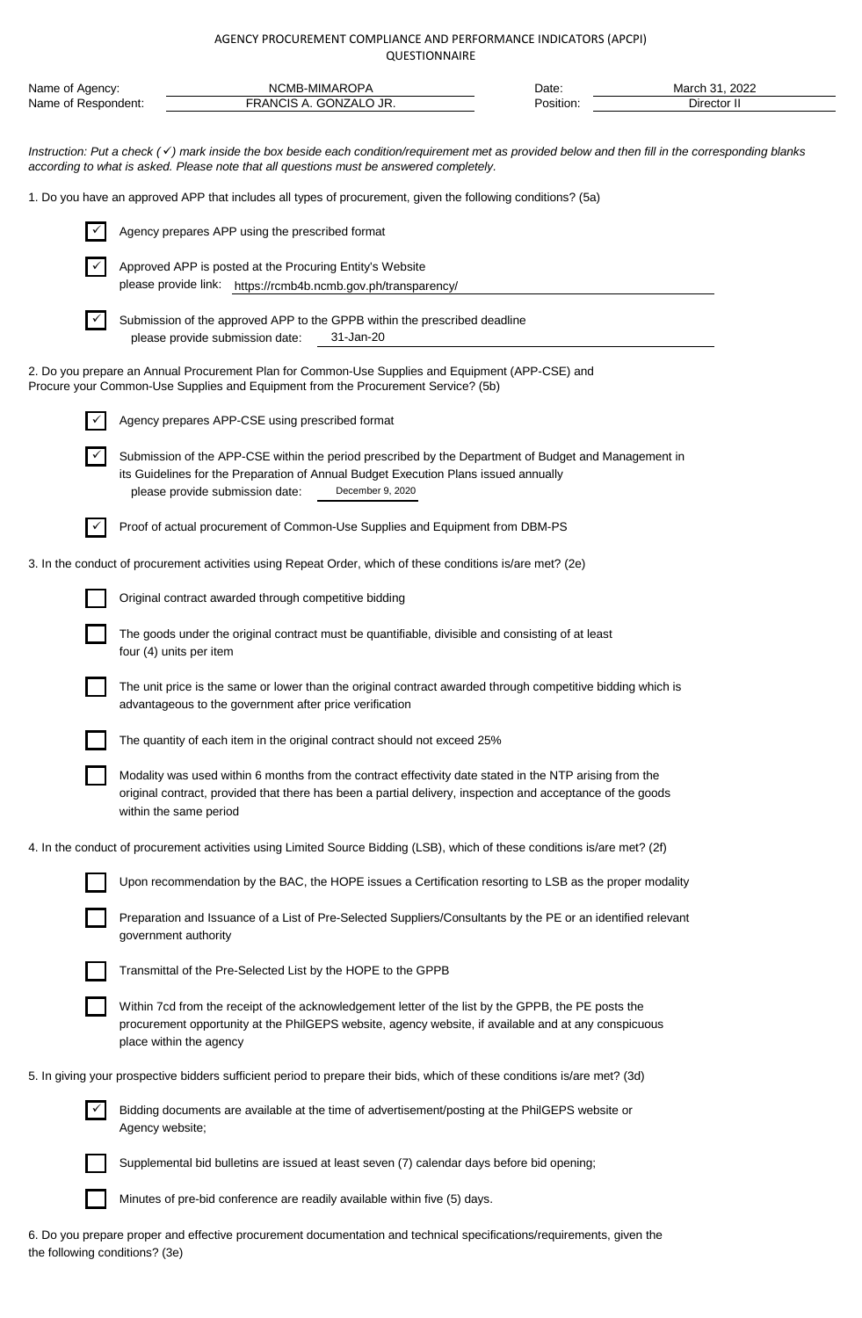| Name of Agency:<br>Name of Respondent: |                 |                                                          | NCMB-MIMAROPA<br>FRANCIS A. GONZALO JR.                                                                                                                                                                                                       | Date:<br>Position: | March 31, 2022<br>Director II |  |
|----------------------------------------|-----------------|----------------------------------------------------------|-----------------------------------------------------------------------------------------------------------------------------------------------------------------------------------------------------------------------------------------------|--------------------|-------------------------------|--|
|                                        |                 |                                                          | Instruction: Put a check (v) mark inside the box beside each condition/requirement met as provided below and then fill in the corresponding blanks<br>according to what is asked. Please note that all questions must be answered completely. |                    |                               |  |
|                                        |                 |                                                          | 1. Do you have an approved APP that includes all types of procurement, given the following conditions? (5a)                                                                                                                                   |                    |                               |  |
| $\checkmark$                           |                 | Agency prepares APP using the prescribed format          |                                                                                                                                                                                                                                               |                    |                               |  |
|                                        |                 | Approved APP is posted at the Procuring Entity's Website | please provide link: https://rcmb4b.ncmb.gov.ph/transparency/                                                                                                                                                                                 |                    |                               |  |
|                                        |                 | please provide submission date:                          | Submission of the approved APP to the GPPB within the prescribed deadline<br>31-Jan-20                                                                                                                                                        |                    |                               |  |
|                                        |                 |                                                          | 2. Do you prepare an Annual Procurement Plan for Common-Use Supplies and Equipment (APP-CSE) and<br>Procure your Common-Use Supplies and Equipment from the Procurement Service? (5b)                                                         |                    |                               |  |
|                                        |                 | Agency prepares APP-CSE using prescribed format          |                                                                                                                                                                                                                                               |                    |                               |  |
|                                        |                 | please provide submission date:                          | Submission of the APP-CSE within the period prescribed by the Department of Budget and Management in<br>its Guidelines for the Preparation of Annual Budget Execution Plans issued annually<br>December 9, 2020                               |                    |                               |  |
| $\checkmark$                           |                 |                                                          | Proof of actual procurement of Common-Use Supplies and Equipment from DBM-PS                                                                                                                                                                  |                    |                               |  |
|                                        |                 |                                                          | 3. In the conduct of procurement activities using Repeat Order, which of these conditions is/are met? (2e)                                                                                                                                    |                    |                               |  |
|                                        |                 | Original contract awarded through competitive bidding    |                                                                                                                                                                                                                                               |                    |                               |  |
|                                        |                 | four (4) units per item                                  | The goods under the original contract must be quantifiable, divisible and consisting of at least                                                                                                                                              |                    |                               |  |
|                                        |                 | advantageous to the government after price verification  | The unit price is the same or lower than the original contract awarded through competitive bidding which is                                                                                                                                   |                    |                               |  |
|                                        |                 |                                                          | The quantity of each item in the original contract should not exceed 25%                                                                                                                                                                      |                    |                               |  |
|                                        |                 | within the same period                                   | Modality was used within 6 months from the contract effectivity date stated in the NTP arising from the<br>original contract, provided that there has been a partial delivery, inspection and acceptance of the goods                         |                    |                               |  |
|                                        |                 |                                                          | 4. In the conduct of procurement activities using Limited Source Bidding (LSB), which of these conditions is/are met? (2f)                                                                                                                    |                    |                               |  |
|                                        |                 |                                                          | Upon recommendation by the BAC, the HOPE issues a Certification resorting to LSB as the proper modality                                                                                                                                       |                    |                               |  |
|                                        |                 | government authority                                     | Preparation and Issuance of a List of Pre-Selected Suppliers/Consultants by the PE or an identified relevant                                                                                                                                  |                    |                               |  |
|                                        |                 |                                                          | Transmittal of the Pre-Selected List by the HOPE to the GPPB                                                                                                                                                                                  |                    |                               |  |
|                                        |                 | place within the agency                                  | Within 7cd from the receipt of the acknowledgement letter of the list by the GPPB, the PE posts the<br>procurement opportunity at the PhilGEPS website, agency website, if available and at any conspicuous                                   |                    |                               |  |
|                                        |                 |                                                          | 5. In giving your prospective bidders sufficient period to prepare their bids, which of these conditions is/are met? (3d)                                                                                                                     |                    |                               |  |
|                                        | Agency website; |                                                          | Bidding documents are available at the time of advertisement/posting at the PhilGEPS website or                                                                                                                                               |                    |                               |  |
|                                        |                 |                                                          | Supplemental bid bulletins are issued at least seven (7) calendar days before bid opening;                                                                                                                                                    |                    |                               |  |
|                                        |                 |                                                          |                                                                                                                                                                                                                                               |                    |                               |  |

Minutes of pre-bid conference are readily available within five (5) days.

6. Do you prepare proper and effective procurement documentation and technical specifications/requirements, given the the following conditions? (3e)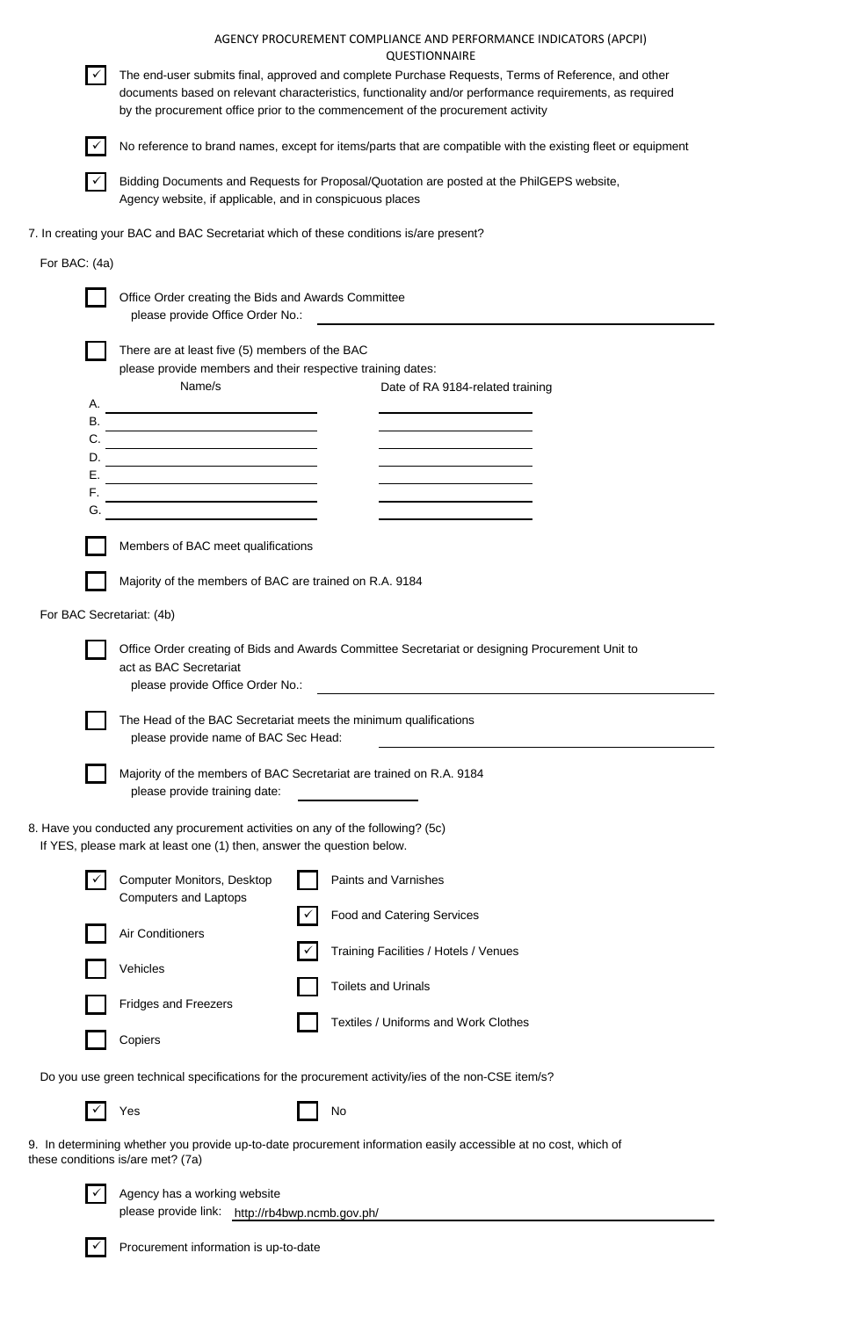|                                   |                                                                                                                                                         | AGENCY PROCUREMENT COMPLIANCE AND PERFORMANCE INDICATORS (APCPI)<br><b>QUESTIONNAIRE</b>                                                                                                                                                                                                         |  |  |  |  |  |  |  |  |
|-----------------------------------|---------------------------------------------------------------------------------------------------------------------------------------------------------|--------------------------------------------------------------------------------------------------------------------------------------------------------------------------------------------------------------------------------------------------------------------------------------------------|--|--|--|--|--|--|--|--|
| $\checkmark$                      |                                                                                                                                                         | The end-user submits final, approved and complete Purchase Requests, Terms of Reference, and other<br>documents based on relevant characteristics, functionality and/or performance requirements, as required<br>by the procurement office prior to the commencement of the procurement activity |  |  |  |  |  |  |  |  |
| $\checkmark$                      | No reference to brand names, except for items/parts that are compatible with the existing fleet or equipment                                            |                                                                                                                                                                                                                                                                                                  |  |  |  |  |  |  |  |  |
|                                   | Agency website, if applicable, and in conspicuous places                                                                                                | Bidding Documents and Requests for Proposal/Quotation are posted at the PhilGEPS website,                                                                                                                                                                                                        |  |  |  |  |  |  |  |  |
|                                   | 7. In creating your BAC and BAC Secretariat which of these conditions is/are present?                                                                   |                                                                                                                                                                                                                                                                                                  |  |  |  |  |  |  |  |  |
| For BAC: (4a)                     |                                                                                                                                                         |                                                                                                                                                                                                                                                                                                  |  |  |  |  |  |  |  |  |
|                                   | Office Order creating the Bids and Awards Committee<br>please provide Office Order No.:                                                                 |                                                                                                                                                                                                                                                                                                  |  |  |  |  |  |  |  |  |
| Α.                                | There are at least five (5) members of the BAC<br>please provide members and their respective training dates:<br>Name/s                                 | Date of RA 9184-related training                                                                                                                                                                                                                                                                 |  |  |  |  |  |  |  |  |
|                                   |                                                                                                                                                         |                                                                                                                                                                                                                                                                                                  |  |  |  |  |  |  |  |  |
| C.<br>D.                          | <u> 1989 - Johann Barnett, fransk politiker (</u><br><u> 1980 - Johann Barn, amerikansk politiker (d. 1980)</u>                                         | and the control of the control of the control of                                                                                                                                                                                                                                                 |  |  |  |  |  |  |  |  |
| Е.<br>F.                          | <u> 1989 - Johann Barnett, fransk politiker (</u>                                                                                                       |                                                                                                                                                                                                                                                                                                  |  |  |  |  |  |  |  |  |
| G.                                | <u> 1989 - Johann Barn, amerikan bestean ing pada sebagai pertama pada sebagai pertama pertama pertama pertama pe</u>                                   |                                                                                                                                                                                                                                                                                                  |  |  |  |  |  |  |  |  |
|                                   | Members of BAC meet qualifications                                                                                                                      |                                                                                                                                                                                                                                                                                                  |  |  |  |  |  |  |  |  |
|                                   | Majority of the members of BAC are trained on R.A. 9184                                                                                                 |                                                                                                                                                                                                                                                                                                  |  |  |  |  |  |  |  |  |
| For BAC Secretariat: (4b)         |                                                                                                                                                         |                                                                                                                                                                                                                                                                                                  |  |  |  |  |  |  |  |  |
|                                   | act as BAC Secretariat<br>please provide Office Order No.:                                                                                              | Office Order creating of Bids and Awards Committee Secretariat or designing Procurement Unit to                                                                                                                                                                                                  |  |  |  |  |  |  |  |  |
|                                   | The Head of the BAC Secretariat meets the minimum qualifications<br>please provide name of BAC Sec Head:                                                |                                                                                                                                                                                                                                                                                                  |  |  |  |  |  |  |  |  |
|                                   | Majority of the members of BAC Secretariat are trained on R.A. 9184<br>please provide training date:                                                    |                                                                                                                                                                                                                                                                                                  |  |  |  |  |  |  |  |  |
|                                   | 8. Have you conducted any procurement activities on any of the following? (5c)<br>If YES, please mark at least one (1) then, answer the question below. |                                                                                                                                                                                                                                                                                                  |  |  |  |  |  |  |  |  |
|                                   | <b>Computer Monitors, Desktop</b><br><b>Computers and Laptops</b>                                                                                       | Paints and Varnishes                                                                                                                                                                                                                                                                             |  |  |  |  |  |  |  |  |
|                                   | Air Conditioners                                                                                                                                        | <b>Food and Catering Services</b>                                                                                                                                                                                                                                                                |  |  |  |  |  |  |  |  |
|                                   | Vehicles                                                                                                                                                | Training Facilities / Hotels / Venues                                                                                                                                                                                                                                                            |  |  |  |  |  |  |  |  |
|                                   | <b>Fridges and Freezers</b>                                                                                                                             | <b>Toilets and Urinals</b>                                                                                                                                                                                                                                                                       |  |  |  |  |  |  |  |  |
|                                   | Copiers                                                                                                                                                 | Textiles / Uniforms and Work Clothes                                                                                                                                                                                                                                                             |  |  |  |  |  |  |  |  |
|                                   |                                                                                                                                                         | Do you use green technical specifications for the procurement activity/ies of the non-CSE item/s?                                                                                                                                                                                                |  |  |  |  |  |  |  |  |
|                                   | Yes                                                                                                                                                     | No                                                                                                                                                                                                                                                                                               |  |  |  |  |  |  |  |  |
| these conditions is/are met? (7a) |                                                                                                                                                         | 9. In determining whether you provide up-to-date procurement information easily accessible at no cost, which of                                                                                                                                                                                  |  |  |  |  |  |  |  |  |
|                                   | Agency has a working website<br>please provide link: http://rb4bwp.ncmb.gov.ph/                                                                         |                                                                                                                                                                                                                                                                                                  |  |  |  |  |  |  |  |  |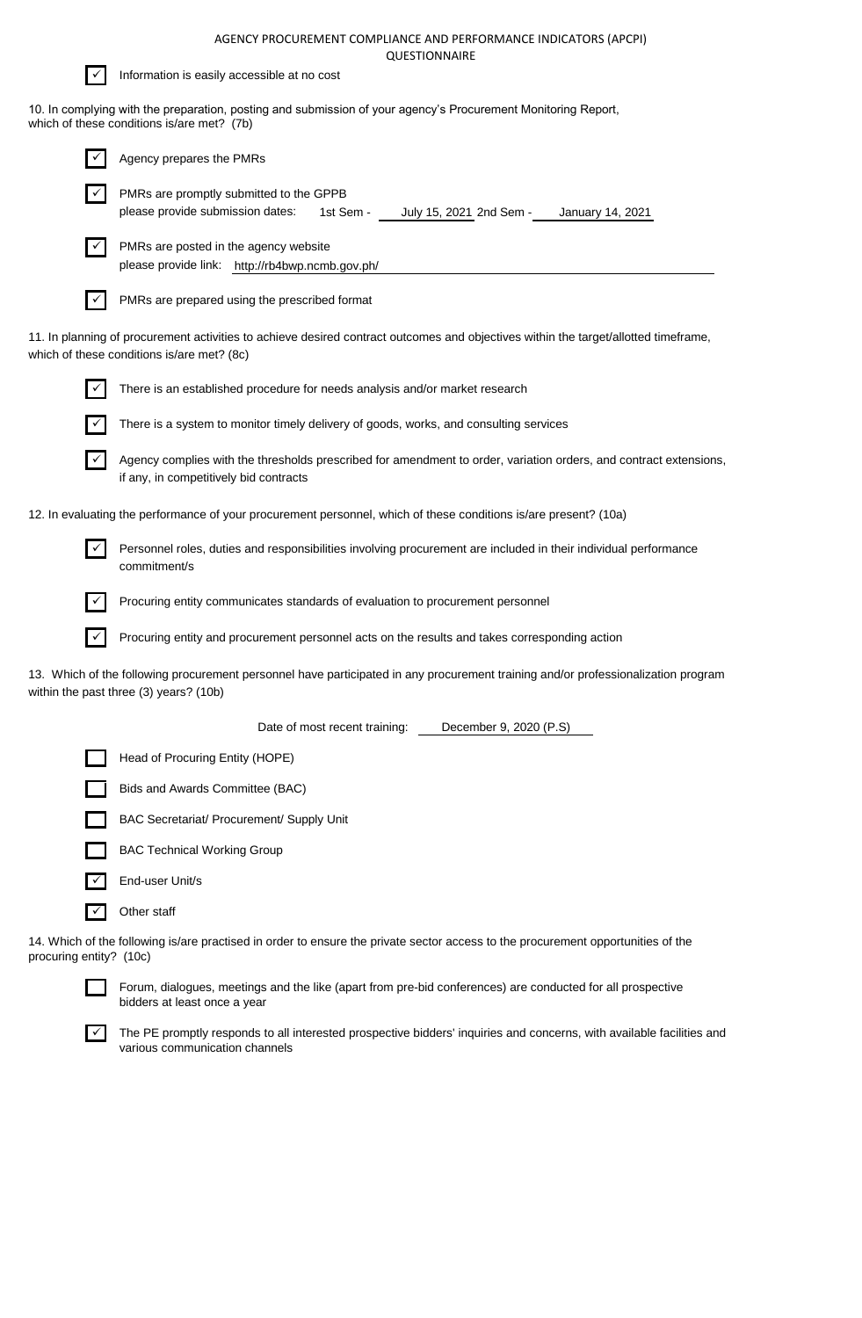

10. In complying with the preparation, posting and submission of your agency's Procurement Monitoring Report, which of these conditions is/are met? (7b)

|              | Agency prepares the PMRs                                                                                                                                                          |
|--------------|-----------------------------------------------------------------------------------------------------------------------------------------------------------------------------------|
| $\checkmark$ | PMRs are promptly submitted to the GPPB<br>please provide submission dates:<br>1st Sem -<br>July 15, 2021 2nd Sem -<br>January 14, 2021                                           |
| ✓            | PMRs are posted in the agency website<br>please provide link: http://rb4bwp.ncmb.gov.ph/                                                                                          |
|              | PMRs are prepared using the prescribed format                                                                                                                                     |
|              | 11. In planning of procurement activities to achieve desired contract outcomes and objectives within the target/allotted timeframe,<br>which of these conditions is/are met? (8c) |
|              | There is an established procedure for needs analysis and/or market research                                                                                                       |
|              | There is a system to monitor timely delivery of goods, works, and consulting services                                                                                             |
|              | Agency complies with the thresholds prescribed for amendment to order, variation orders, and contract extensions,<br>if any, in competitively bid contracts                       |
|              | 12. In evaluating the performance of your procurement personnel, which of these conditions is/are present? (10a)                                                                  |
| $\checkmark$ | Personnel roles, duties and responsibilities involving procurement are included in their individual performance<br>commitment/s                                                   |
|              | Procuring entity communicates standards of evaluation to procurement personnel                                                                                                    |
|              | Procuring entity and procurement personnel acts on the results and takes corresponding action                                                                                     |
|              | 13. Which of the following procurement personnel have participated in any procurement training and/or professionalization program<br>within the past three (3) years? (10b)       |
|              | Date of most recent training:<br>December 9, 2020 (P.S)                                                                                                                           |
|              | Head of Procuring Entity (HOPE)                                                                                                                                                   |
|              | Bids and Awards Committee (BAC)                                                                                                                                                   |
|              | BAC Secretariat/ Procurement/ Supply Unit                                                                                                                                         |
|              | <b>BAC Technical Working Group</b>                                                                                                                                                |
| $\checkmark$ | End-user Unit/s                                                                                                                                                                   |

14. Which of the following is/are practised in order to ensure the private sector access to the procurement opportunities of the procuring entity? (10c)



✓ Other staff

Forum, dialogues, meetings and the like (apart from pre-bid conferences) are conducted for all prospective bidders at least once a year

 $\overline{\smile}$  The PE promptly responds to all interested prospective bidders' inquiries and concerns, with available facilities and various communication channels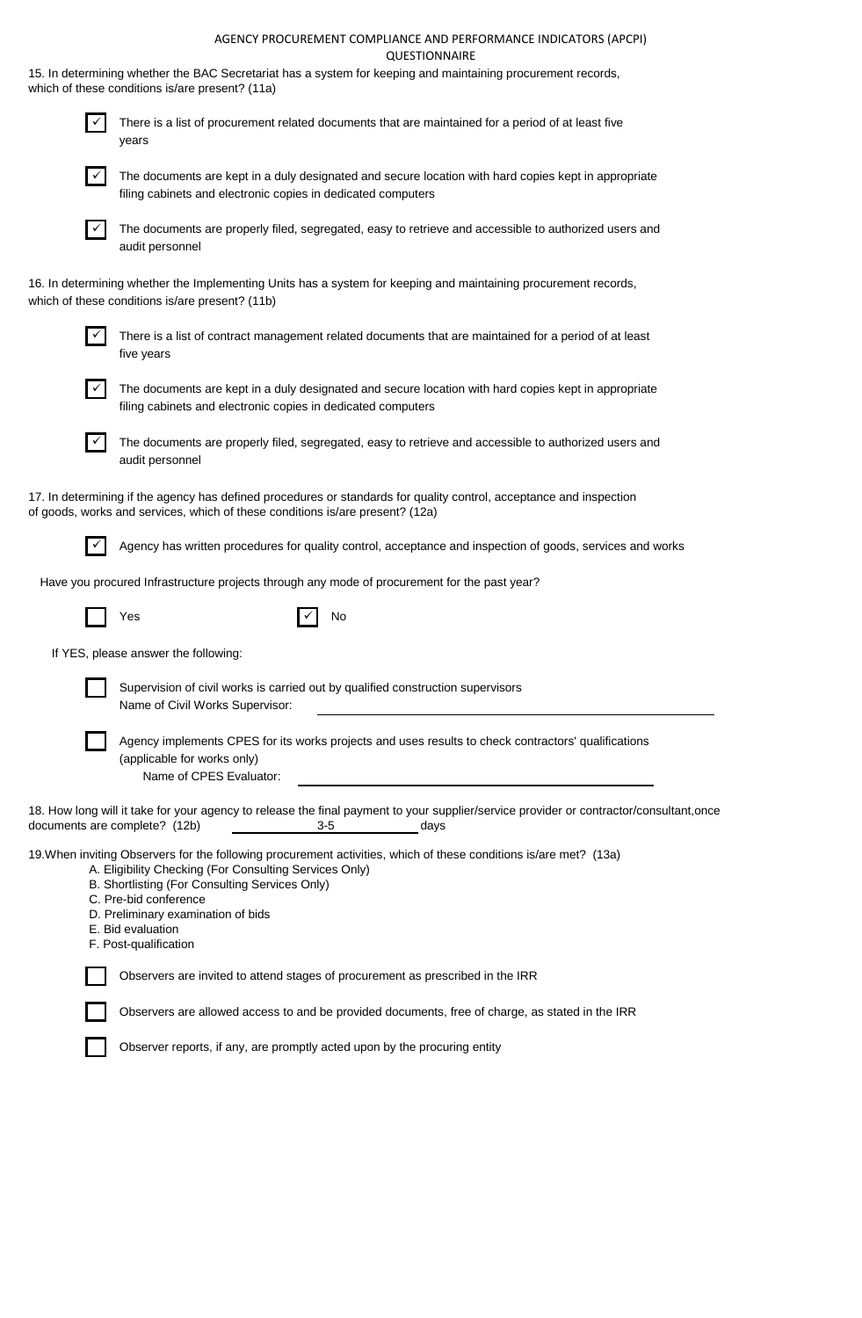|              | 15. In determining whether the BAC Secretariat has a system for keeping and maintaining procurement records,<br>which of these conditions is/are present? (11a)                                                                                                                                                                            |
|--------------|--------------------------------------------------------------------------------------------------------------------------------------------------------------------------------------------------------------------------------------------------------------------------------------------------------------------------------------------|
| $\checkmark$ | There is a list of procurement related documents that are maintained for a period of at least five<br>years                                                                                                                                                                                                                                |
| $\checkmark$ | The documents are kept in a duly designated and secure location with hard copies kept in appropriate<br>filing cabinets and electronic copies in dedicated computers                                                                                                                                                                       |
| $\checkmark$ | The documents are properly filed, segregated, easy to retrieve and accessible to authorized users and<br>audit personnel                                                                                                                                                                                                                   |
|              | 16. In determining whether the Implementing Units has a system for keeping and maintaining procurement records,<br>which of these conditions is/are present? (11b)                                                                                                                                                                         |
|              | There is a list of contract management related documents that are maintained for a period of at least<br>five years                                                                                                                                                                                                                        |
| $\checkmark$ | The documents are kept in a duly designated and secure location with hard copies kept in appropriate<br>filing cabinets and electronic copies in dedicated computers                                                                                                                                                                       |
|              | The documents are properly filed, segregated, easy to retrieve and accessible to authorized users and<br>audit personnel                                                                                                                                                                                                                   |
|              | 17. In determining if the agency has defined procedures or standards for quality control, acceptance and inspection<br>of goods, works and services, which of these conditions is/are present? (12a)                                                                                                                                       |
|              | Agency has written procedures for quality control, acceptance and inspection of goods, services and works                                                                                                                                                                                                                                  |
|              | Have you procured Infrastructure projects through any mode of procurement for the past year?                                                                                                                                                                                                                                               |
|              | Yes<br>No                                                                                                                                                                                                                                                                                                                                  |
|              | If YES, please answer the following:                                                                                                                                                                                                                                                                                                       |
|              | Supervision of civil works is carried out by qualified construction supervisors<br>Name of Civil Works Supervisor:                                                                                                                                                                                                                         |
|              | Agency implements CPES for its works projects and uses results to check contractors' qualifications<br>(applicable for works only)<br>Name of CPES Evaluator:                                                                                                                                                                              |
|              | 18. How long will it take for your agency to release the final payment to your supplier/service provider or contractor/consultant,once<br>documents are complete? (12b)<br>$3-5$<br>days                                                                                                                                                   |
|              | 19. When inviting Observers for the following procurement activities, which of these conditions is/are met? (13a)<br>A. Eligibility Checking (For Consulting Services Only)<br>B. Shortlisting (For Consulting Services Only)<br>C. Pre-bid conference<br>D. Preliminary examination of bids<br>E. Bid evaluation<br>F. Post-qualification |
|              | Observers are invited to attend stages of procurement as prescribed in the IRR                                                                                                                                                                                                                                                             |
|              | Observers are allowed access to and be provided documents, free of charge, as stated in the IRR                                                                                                                                                                                                                                            |

Observer reports, if any, are promptly acted upon by the procuring entity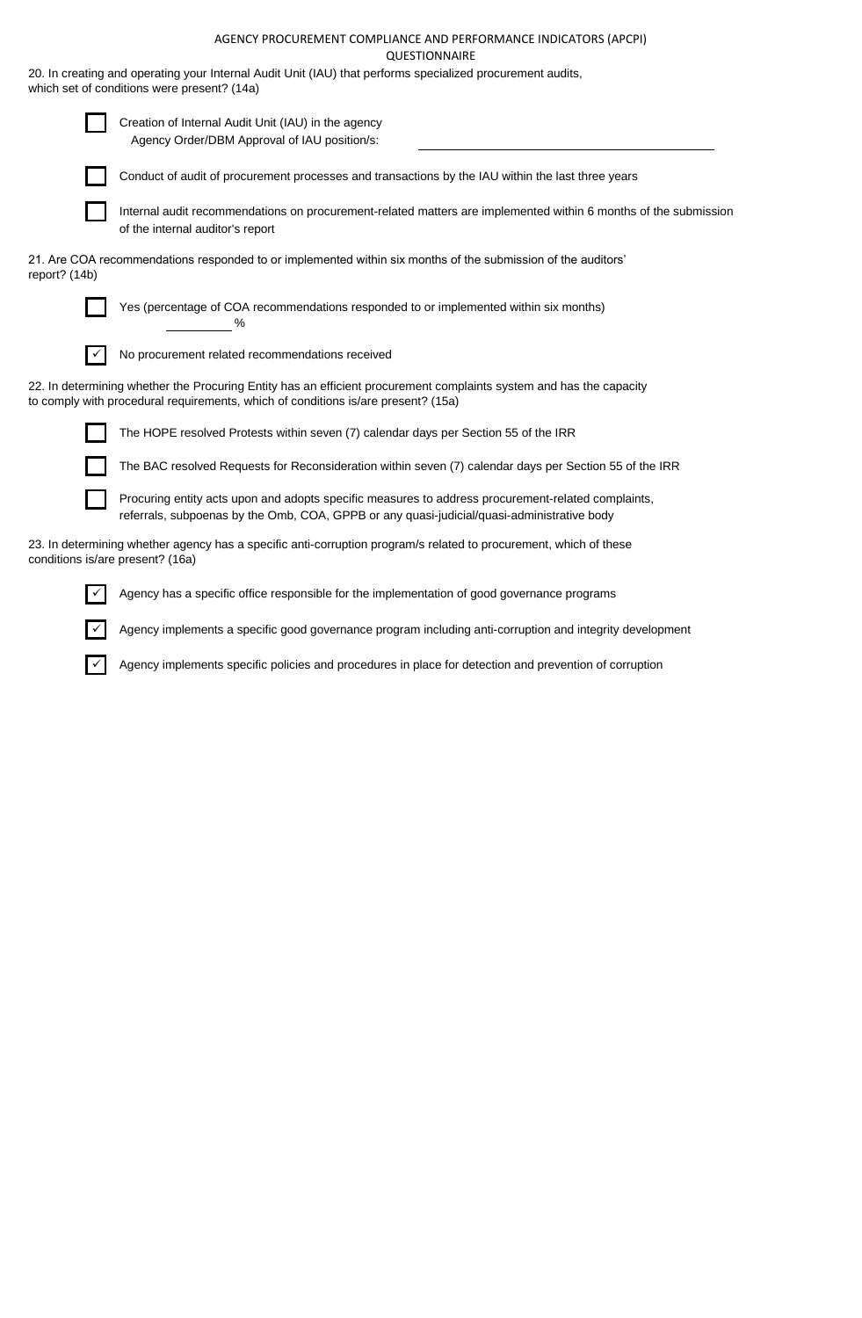20. In creating and operating your Internal Audit Unit (IAU) that performs specialized procurement audits, which set of conditions were present? (14a)

|                                  | Creation of Internal Audit Unit (IAU) in the agency<br>Agency Order/DBM Approval of IAU position/s:                                                                                                      |
|----------------------------------|----------------------------------------------------------------------------------------------------------------------------------------------------------------------------------------------------------|
|                                  | Conduct of audit of procurement processes and transactions by the IAU within the last three years                                                                                                        |
|                                  | Internal audit recommendations on procurement-related matters are implemented within 6 months of the submission<br>of the internal auditor's report                                                      |
| report? (14b)                    | 21. Are COA recommendations responded to or implemented within six months of the submission of the auditors'                                                                                             |
|                                  | Yes (percentage of COA recommendations responded to or implemented within six months)<br>℅                                                                                                               |
|                                  | No procurement related recommendations received                                                                                                                                                          |
|                                  | 22. In determining whether the Procuring Entity has an efficient procurement complaints system and has the capacity<br>to comply with procedural requirements, which of conditions is/are present? (15a) |
|                                  | The HOPE resolved Protests within seven (7) calendar days per Section 55 of the IRR                                                                                                                      |
|                                  | The BAC resolved Requests for Reconsideration within seven (7) calendar days per Section 55 of the IRR                                                                                                   |
|                                  | Procuring entity acts upon and adopts specific measures to address procurement-related complaints,<br>referrals, subpoenas by the Omb, COA, GPPB or any quasi-judicial/quasi-administrative body         |
| conditions is/are present? (16a) | 23. In determining whether agency has a specific anti-corruption program/s related to procurement, which of these                                                                                        |

✓ Agency has a specific office responsible for the implementation of good governance programs

✓ Agency implements a specific good governance program including anti-corruption and integrity development

✓ Agency implements specific policies and procedures in place for detection and prevention of corruption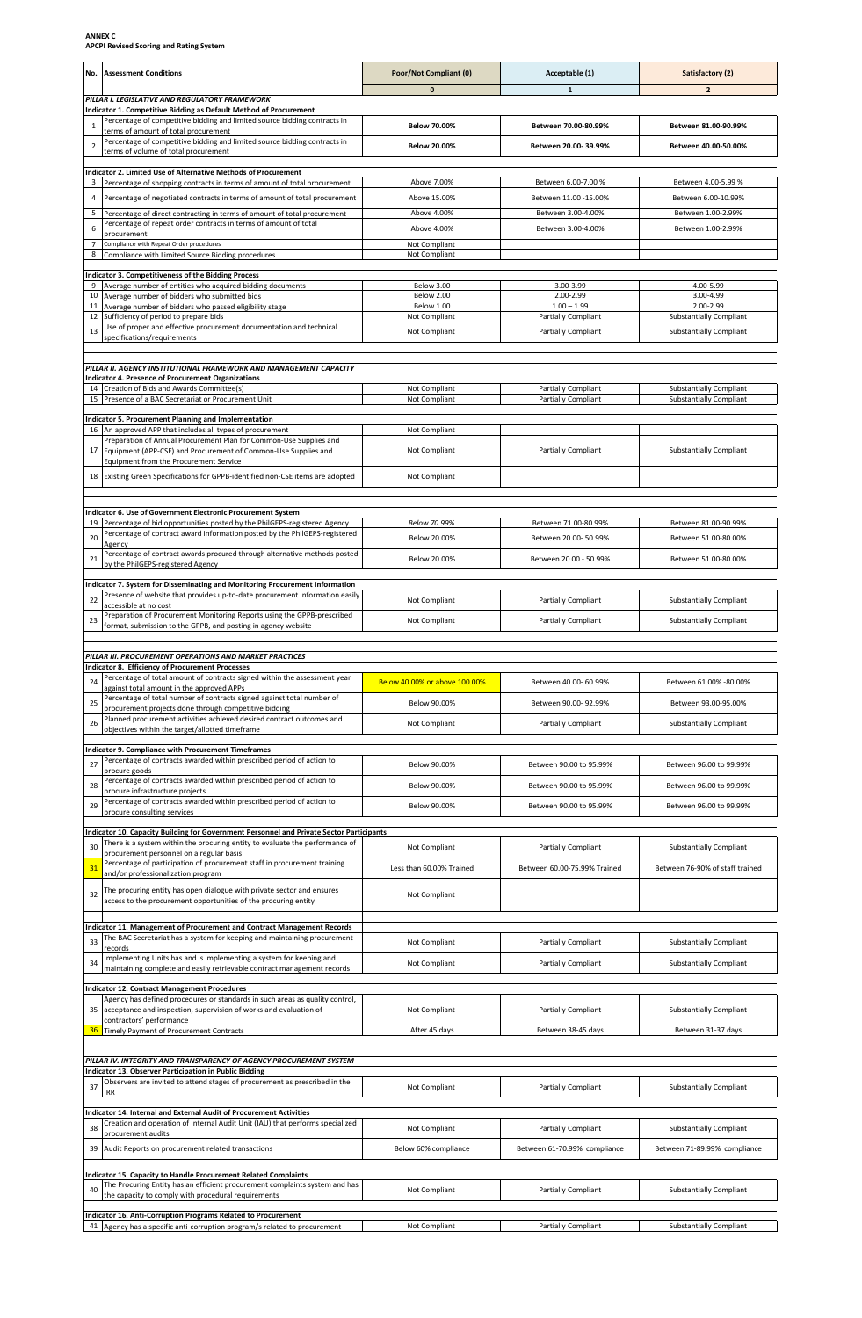**ANNEX C APCPI Revised Scoring and Rating System**

| <b>Assessment Conditions</b><br>No.                                                                                                                               | Poor/Not Compliant (0)         | Acceptable (1)                                    | Satisfactory (2)                                                 |
|-------------------------------------------------------------------------------------------------------------------------------------------------------------------|--------------------------------|---------------------------------------------------|------------------------------------------------------------------|
| PILLAR I. LEGISLATIVE AND REGULATORY FRAMEWORK                                                                                                                    | $\pmb{0}$                      | ${\bf 1}$                                         | 2                                                                |
| Indicator 1. Competitive Bidding as Default Method of Procurement<br>Percentage of competitive bidding and limited source bidding contracts in<br>$\mathbf{1}$    | <b>Below 70.00%</b>            | Between 70.00-80.99%                              | Between 81.00-90.99%                                             |
| terms of amount of total procurement<br>Percentage of competitive bidding and limited source bidding contracts in<br>2                                            | <b>Below 20.00%</b>            | Between 20.00-39.99%                              | Between 40.00-50.00%                                             |
| terms of volume of total procurement                                                                                                                              |                                |                                                   |                                                                  |
| Indicator 2. Limited Use of Alternative Methods of Procurement<br>Percentage of shopping contracts in terms of amount of total procurement                        | Above 7.00%                    | Between 6.00-7.00 %                               | Between 4.00-5.99 %                                              |
| Percentage of negotiated contracts in terms of amount of total procurement                                                                                        | Above 15.00%                   | Between 11.00 - 15.00%                            | Between 6.00-10.99%                                              |
| 5<br>Percentage of direct contracting in terms of amount of total procurement                                                                                     | Above 4.00%                    | Between 3.00-4.00%                                | Between 1.00-2.99%                                               |
| Percentage of repeat order contracts in terms of amount of total<br>6<br>procurement                                                                              | Above 4.00%                    | Between 3.00-4.00%                                | Between 1.00-2.99%                                               |
| $\overline{7}$<br>Compliance with Repeat Order procedures<br>Compliance with Limited Source Bidding procedures<br>8                                               | Not Compliant<br>Not Compliant |                                                   |                                                                  |
| <b>Indicator 3. Competitiveness of the Bidding Process</b>                                                                                                        |                                |                                                   |                                                                  |
| 9<br>Average number of entities who acquired bidding documents                                                                                                    | Below 3.00                     | 3.00-3.99                                         | 4.00-5.99                                                        |
| Average number of bidders who submitted bids<br>10<br>11<br>Average number of bidders who passed eligibility stage                                                | Below 2.00<br>Below 1.00       | 2.00-2.99<br>$1.00 - 1.99$                        | 3.00-4.99<br>2.00-2.99                                           |
| 12<br>Sufficiency of period to prepare bids<br>Use of proper and effective procurement documentation and technical                                                | Not Compliant                  | Partially Compliant                               | <b>Substantially Compliant</b>                                   |
| 13<br>specifications/requirements                                                                                                                                 | Not Compliant                  | Partially Compliant                               | <b>Substantially Compliant</b>                                   |
| PILLAR II. AGENCY INSTITUTIONAL FRAMEWORK AND MANAGEMENT CAPACITY                                                                                                 |                                |                                                   |                                                                  |
| <b>Indicator 4. Presence of Procurement Organizations</b>                                                                                                         |                                |                                                   |                                                                  |
| 14 Creation of Bids and Awards Committee(s)<br>15 Presence of a BAC Secretariat or Procurement Unit                                                               | Not Compliant<br>Not Compliant | <b>Partially Compliant</b><br>Partially Compliant | <b>Substantially Compliant</b><br><b>Substantially Compliant</b> |
| Indicator 5. Procurement Planning and Implementation                                                                                                              |                                |                                                   |                                                                  |
| 16<br>An approved APP that includes all types of procurement                                                                                                      | Not Compliant                  |                                                   |                                                                  |
| Preparation of Annual Procurement Plan for Common-Use Supplies and<br>17<br>Equipment (APP-CSE) and Procurement of Common-Use Supplies and                        | Not Compliant                  | <b>Partially Compliant</b>                        | <b>Substantially Compliant</b>                                   |
| Equipment from the Procurement Service                                                                                                                            |                                |                                                   |                                                                  |
| 18<br>Existing Green Specifications for GPPB-identified non-CSE items are adopted                                                                                 | Not Compliant                  |                                                   |                                                                  |
|                                                                                                                                                                   |                                |                                                   |                                                                  |
| Indicator 6. Use of Government Electronic Procurement System<br>Percentage of bid opportunities posted by the PhilGEPS-registered Agency<br>19                    | Below 70.99%                   | Between 71.00-80.99%                              | Between 81.00-90.99%                                             |
| Percentage of contract award information posted by the PhilGEPS-registered<br>20<br>Agency                                                                        | Below 20.00%                   | Between 20.00-50.99%                              | Between 51.00-80.00%                                             |
| Percentage of contract awards procured through alternative methods posted<br>21<br>by the PhilGEPS-registered Agency                                              | Below 20.00%                   | Between 20.00 - 50.99%                            | Between 51.00-80.00%                                             |
|                                                                                                                                                                   |                                |                                                   |                                                                  |
| Indicator 7. System for Disseminating and Monitoring Procurement Information<br>Presence of website that provides up-to-date procurement information easily<br>22 | Not Compliant                  | Partially Compliant                               | <b>Substantially Compliant</b>                                   |
| accessible at no cost<br>Preparation of Procurement Monitoring Reports using the GPPB-prescribed                                                                  |                                |                                                   |                                                                  |
| 23<br>format, submission to the GPPB, and posting in agency website                                                                                               | Not Compliant                  | Partially Compliant                               | <b>Substantially Compliant</b>                                   |
|                                                                                                                                                                   |                                |                                                   |                                                                  |
| PILLAR III. PROCUREMENT OPERATIONS AND MARKET PRACTICES<br><b>Indicator 8. Efficiency of Procurement Processes</b>                                                |                                |                                                   |                                                                  |
| Percentage of total amount of contracts signed within the assessment year<br>24<br>against total amount in the approved APPs                                      | Below 40.00% or above 100.00%  | Between 40.00- 60.99%                             | Between 61.00% -80.00%                                           |
| Percentage of total number of contracts signed against total number of<br>25<br>procurement projects done through competitive bidding                             | Below 90.00%                   | Between 90.00-92.99%                              | Between 93.00-95.00%                                             |
| Planned procurement activities achieved desired contract outcomes and<br>26                                                                                       | Not Compliant                  | Partially Compliant                               | <b>Substantially Compliant</b>                                   |
| objectives within the target/allotted timeframe                                                                                                                   |                                |                                                   |                                                                  |
| Indicator 9. Compliance with Procurement Timeframes<br>Percentage of contracts awarded within prescribed period of action to                                      |                                |                                                   |                                                                  |
| 27<br>procure goods<br>Percentage of contracts awarded within prescribed period of action to                                                                      | Below 90.00%                   | Between 90.00 to 95.99%                           | Between 96.00 to 99.99%                                          |
| 28<br>procure infrastructure projects                                                                                                                             | Below 90.00%                   | Between 90.00 to 95.99%                           | Between 96.00 to 99.99%                                          |
| Percentage of contracts awarded within prescribed period of action to<br>29<br>procure consulting services                                                        | Below 90.00%                   | Between 90.00 to 95.99%                           | Between 96.00 to 99.99%                                          |
| Indicator 10. Capacity Building for Government Personnel and Private Sector Participants                                                                          |                                |                                                   |                                                                  |
| There is a system within the procuring entity to evaluate the performance of<br>30<br>procurement personnel on a regular basis                                    | Not Compliant                  | <b>Partially Compliant</b>                        | <b>Substantially Compliant</b>                                   |
| Percentage of participation of procurement staff in procurement training<br>31                                                                                    | Less than 60.00% Trained       | Between 60.00-75.99% Trained                      | Between 76-90% of staff trained                                  |
| and/or professionalization program<br>The procuring entity has open dialogue with private sector and ensures                                                      |                                |                                                   |                                                                  |
| 32<br>access to the procurement opportunities of the procuring entity                                                                                             | Not Compliant                  |                                                   |                                                                  |
| Indicator 11. Management of Procurement and Contract Management Records                                                                                           |                                |                                                   |                                                                  |
| The BAC Secretariat has a system for keeping and maintaining procurement<br>33                                                                                    | Not Compliant                  | <b>Partially Compliant</b>                        | <b>Substantially Compliant</b>                                   |
| records<br>Implementing Units has and is implementing a system for keeping and<br>34                                                                              | Not Compliant                  | Partially Compliant                               | <b>Substantially Compliant</b>                                   |
| maintaining complete and easily retrievable contract management records                                                                                           |                                |                                                   |                                                                  |
| <b>Indicator 12. Contract Management Procedures</b><br>Agency has defined procedures or standards in such areas as quality control,                               |                                |                                                   |                                                                  |
| 35<br>acceptance and inspection, supervision of works and evaluation of                                                                                           | Not Compliant                  | Partially Compliant                               | <b>Substantially Compliant</b>                                   |
| contractors' performance<br>Timely Payment of Procurement Contracts<br>36                                                                                         | After 45 days                  | Between 38-45 days                                | Between 31-37 days                                               |
|                                                                                                                                                                   |                                |                                                   |                                                                  |
| PILLAR IV. INTEGRITY AND TRANSPARENCY OF AGENCY PROCUREMENT SYSTEM<br>Indicator 13. Observer Participation in Public Bidding                                      |                                |                                                   |                                                                  |
| Observers are invited to attend stages of procurement as prescribed in the<br>37                                                                                  | Not Compliant                  | Partially Compliant                               | <b>Substantially Compliant</b>                                   |
| <b>IRR</b>                                                                                                                                                        |                                |                                                   |                                                                  |
| Indicator 14. Internal and External Audit of Procurement Activities<br>Creation and operation of Internal Audit Unit (IAU) that performs specialized              |                                |                                                   |                                                                  |
| 38<br>procurement audits                                                                                                                                          | Not Compliant                  | <b>Partially Compliant</b>                        | <b>Substantially Compliant</b>                                   |
| 39<br>Audit Reports on procurement related transactions                                                                                                           | Below 60% compliance           | Between 61-70.99% compliance                      | Between 71-89.99% compliance                                     |
| Indicator 15. Capacity to Handle Procurement Related Complaints                                                                                                   |                                |                                                   |                                                                  |
| The Procuring Entity has an efficient procurement complaints system and has<br>40<br>the capacity to comply with procedural requirements                          | Not Compliant                  | Partially Compliant                               | <b>Substantially Compliant</b>                                   |
|                                                                                                                                                                   |                                |                                                   |                                                                  |
| Indicator 16. Anti-Corruption Programs Related to Procurement<br>Agency has a specific anti-corruption program/s related to procurement                           | Not Compliant                  | <b>Partially Compliant</b>                        | <b>Substantially Compliant</b>                                   |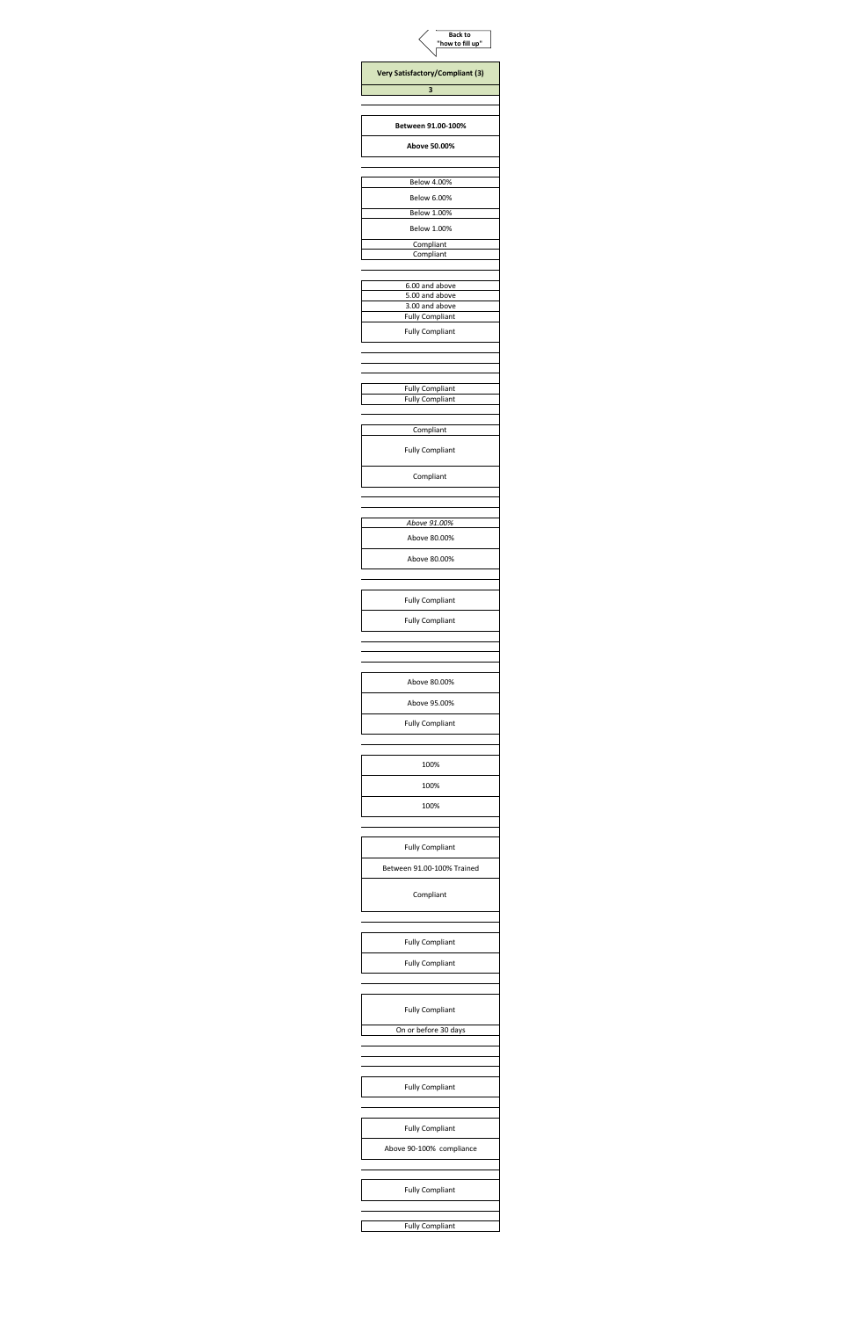| <b>Back to</b><br>"how to fill up"       |
|------------------------------------------|
| Very Satisfactory/Compliant (3)          |
| 3                                        |
|                                          |
| Between 91.00-100%                       |
| Above 50.00%                             |
|                                          |
| <b>Below 4.00%</b><br><b>Below 6.00%</b> |
| <b>Below 1.00%</b>                       |
| <b>Below 1.00%</b>                       |
| Compliant<br>Compliant                   |
| 6.00 and above                           |
| 5.00 and above<br>3.00 and above         |
| <b>Fully Compliant</b>                   |
| <b>Fully Compliant</b>                   |
|                                          |
| <b>Fully Compliant</b>                   |
| <b>Fully Compliant</b>                   |
| Compliant                                |
| <b>Fully Compliant</b>                   |
|                                          |
| Compliant                                |
|                                          |
| Above 91.00%                             |
| Above 80.00%                             |
| Above 80.00%                             |
|                                          |
| <b>Fully Compliant</b>                   |
| <b>Fully Compliant</b>                   |
|                                          |
|                                          |
| Above 80.00%                             |
| Above 95.00%                             |
| <b>Fully Compliant</b>                   |
|                                          |
| 100%                                     |
| 100%                                     |
| 100%                                     |
| <b>Fully Compliant</b>                   |
| Between 91.00-100% Trained               |
|                                          |
| Compliant                                |
|                                          |
| <b>Fully Compliant</b>                   |
| <b>Fully Compliant</b>                   |
|                                          |
| <b>Fully Compliant</b>                   |
| On or before 30 days                     |
|                                          |
|                                          |
| <b>Fully Compliant</b>                   |
|                                          |
| <b>Fully Compliant</b>                   |
| Above 90-100% compliance                 |
|                                          |
| <b>Fully Compliant</b>                   |
|                                          |
| <b>Fully Compliant</b>                   |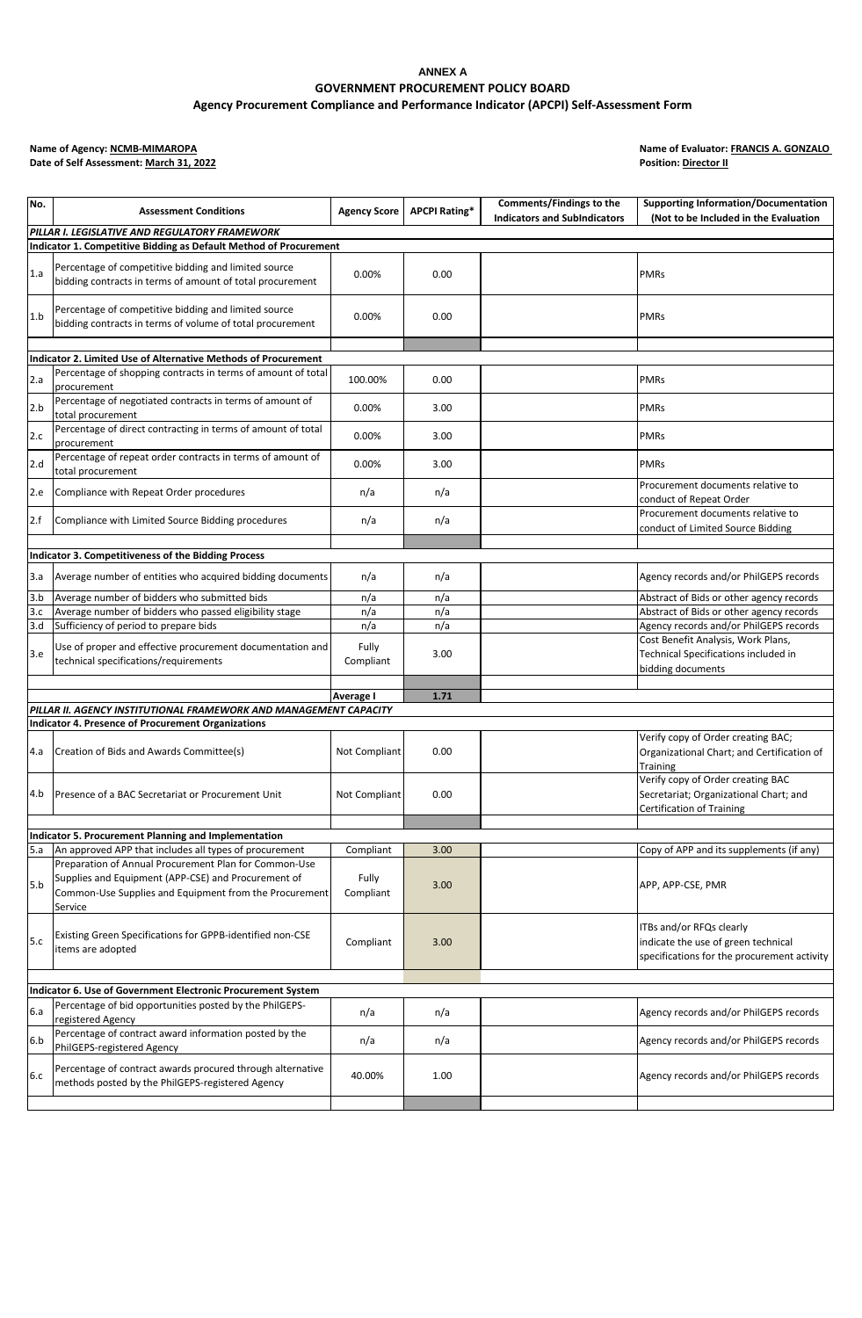# **ANNEX A GOVERNMENT PROCUREMENT POLICY BOARD Agency Procurement Compliance and Performance Indicator (APCPI) Self-Assessment Form**

**Name of Agency: NCMB-MIMAROPA**<br>Date of Self Assessment: March 31, 2022

**Name of Evaluator: <b>FRANCIS A. GONZALO**<br>Position: **Director II** 

| No.    | <b>Assessment Conditions</b>                                                                                             | <b>Agency Score</b> | <b>APCPI Rating*</b> | Comments/Findings to the<br><b>Indicators and SubIndicators</b> | <b>Supporting Information/Documentation</b><br>(Not to be Included in the Evaluation                            |  |  |  |  |  |  |
|--------|--------------------------------------------------------------------------------------------------------------------------|---------------------|----------------------|-----------------------------------------------------------------|-----------------------------------------------------------------------------------------------------------------|--|--|--|--|--|--|
|        | PILLAR I. LEGISLATIVE AND REGULATORY FRAMEWORK                                                                           |                     |                      |                                                                 |                                                                                                                 |  |  |  |  |  |  |
|        | Indicator 1. Competitive Bidding as Default Method of Procurement                                                        |                     |                      |                                                                 |                                                                                                                 |  |  |  |  |  |  |
| 1.a    | Percentage of competitive bidding and limited source                                                                     | 0.00%               | 0.00                 |                                                                 | <b>PMRs</b>                                                                                                     |  |  |  |  |  |  |
|        | bidding contracts in terms of amount of total procurement                                                                |                     |                      |                                                                 |                                                                                                                 |  |  |  |  |  |  |
| 1.b    | Percentage of competitive bidding and limited source<br>bidding contracts in terms of volume of total procurement        | 0.00%               | 0.00                 |                                                                 | <b>PMRs</b>                                                                                                     |  |  |  |  |  |  |
|        |                                                                                                                          |                     |                      |                                                                 |                                                                                                                 |  |  |  |  |  |  |
|        | <b>Indicator 2. Limited Use of Alternative Methods of Procurement</b>                                                    |                     |                      |                                                                 |                                                                                                                 |  |  |  |  |  |  |
| 2.a    | Percentage of shopping contracts in terms of amount of total<br>procurement                                              | 100.00%             | 0.00                 |                                                                 | <b>PMRs</b>                                                                                                     |  |  |  |  |  |  |
| 2.b    | Percentage of negotiated contracts in terms of amount of<br>total procurement                                            | 0.00%               | 3.00                 |                                                                 | <b>PMRs</b>                                                                                                     |  |  |  |  |  |  |
| 2.c    | Percentage of direct contracting in terms of amount of total<br>procurement                                              | 0.00%               | 3.00                 |                                                                 | <b>PMRs</b>                                                                                                     |  |  |  |  |  |  |
| 2.d    | Percentage of repeat order contracts in terms of amount of<br>total procurement                                          | 0.00%               | 3.00                 |                                                                 | <b>PMRs</b>                                                                                                     |  |  |  |  |  |  |
| 2.e    | Compliance with Repeat Order procedures                                                                                  | n/a                 | n/a                  |                                                                 | Procurement documents relative to<br>conduct of Repeat Order                                                    |  |  |  |  |  |  |
| 2.f    | Compliance with Limited Source Bidding procedures                                                                        | n/a                 | n/a                  |                                                                 | Procurement documents relative to<br>conduct of Limited Source Bidding                                          |  |  |  |  |  |  |
|        |                                                                                                                          |                     |                      |                                                                 |                                                                                                                 |  |  |  |  |  |  |
|        | Indicator 3. Competitiveness of the Bidding Process                                                                      |                     |                      |                                                                 |                                                                                                                 |  |  |  |  |  |  |
| 3.a    | Average number of entities who acquired bidding documents                                                                | n/a                 | n/a                  |                                                                 | Agency records and/or PhilGEPS records                                                                          |  |  |  |  |  |  |
| $-3.b$ | Average number of bidders who submitted bids                                                                             | n/a                 | n/a                  |                                                                 | Abstract of Bids or other agency records                                                                        |  |  |  |  |  |  |
| 3.c    | Average number of bidders who passed eligibility stage                                                                   | n/a                 | n/a                  |                                                                 | Abstract of Bids or other agency records                                                                        |  |  |  |  |  |  |
| 3.d    | Sufficiency of period to prepare bids                                                                                    | n/a                 | n/a                  |                                                                 | Agency records and/or PhilGEPS records                                                                          |  |  |  |  |  |  |
| 3.e    | Use of proper and effective procurement documentation and<br>technical specifications/requirements                       | Fully<br>Compliant  | 3.00                 |                                                                 | Cost Benefit Analysis, Work Plans,<br>Technical Specifications included in<br>bidding documents                 |  |  |  |  |  |  |
|        |                                                                                                                          |                     |                      |                                                                 |                                                                                                                 |  |  |  |  |  |  |
|        |                                                                                                                          | Average I           | 1.71                 |                                                                 |                                                                                                                 |  |  |  |  |  |  |
|        | PILLAR II. AGENCY INSTITUTIONAL FRAMEWORK AND MANAGEMENT CAPACITY                                                        |                     |                      |                                                                 |                                                                                                                 |  |  |  |  |  |  |
|        | <b>Indicator 4. Presence of Procurement Organizations</b>                                                                |                     |                      |                                                                 |                                                                                                                 |  |  |  |  |  |  |
| 4.a    | Creation of Bids and Awards Committee(s)                                                                                 | Not Compliant       | 0.00                 |                                                                 | Verify copy of Order creating BAC;<br>Organizational Chart; and Certification of<br>Training                    |  |  |  |  |  |  |
| 4.b    | Presence of a BAC Secretariat or Procurement Unit                                                                        | Not Compliant       | 0.00                 |                                                                 | Verify copy of Order creating BAC<br>Secretariat; Organizational Chart; and<br><b>Certification of Training</b> |  |  |  |  |  |  |
|        |                                                                                                                          |                     |                      |                                                                 |                                                                                                                 |  |  |  |  |  |  |
|        | Indicator 5. Procurement Planning and Implementation                                                                     |                     |                      |                                                                 |                                                                                                                 |  |  |  |  |  |  |
| 5.a    | An approved APP that includes all types of procurement<br>Preparation of Annual Procurement Plan for Common-Use          | Compliant           | 3.00                 |                                                                 | Copy of APP and its supplements (if any)                                                                        |  |  |  |  |  |  |
| 5.b    | Supplies and Equipment (APP-CSE) and Procurement of<br>Common-Use Supplies and Equipment from the Procurement<br>Service | Fully<br>Compliant  | 3.00                 |                                                                 | APP, APP-CSE, PMR                                                                                               |  |  |  |  |  |  |
| 5.c    | Existing Green Specifications for GPPB-identified non-CSE<br>items are adopted                                           | Compliant           | 3.00                 |                                                                 | ITBs and/or RFQs clearly<br>indicate the use of green technical<br>specifications for the procurement activity  |  |  |  |  |  |  |
|        |                                                                                                                          |                     |                      |                                                                 |                                                                                                                 |  |  |  |  |  |  |
|        | Indicator 6. Use of Government Electronic Procurement System                                                             |                     |                      |                                                                 |                                                                                                                 |  |  |  |  |  |  |
| 6.a    | Percentage of bid opportunities posted by the PhilGEPS-<br>registered Agency                                             | n/a                 | n/a                  |                                                                 | Agency records and/or PhilGEPS records                                                                          |  |  |  |  |  |  |
| 6.b    | Percentage of contract award information posted by the<br>PhilGEPS-registered Agency                                     | n/a                 | n/a                  |                                                                 | Agency records and/or PhilGEPS records                                                                          |  |  |  |  |  |  |
| 6.c    | Percentage of contract awards procured through alternative<br>methods posted by the PhilGEPS-registered Agency           | 40.00%              | 1.00                 |                                                                 | Agency records and/or PhilGEPS records                                                                          |  |  |  |  |  |  |
|        |                                                                                                                          |                     |                      |                                                                 |                                                                                                                 |  |  |  |  |  |  |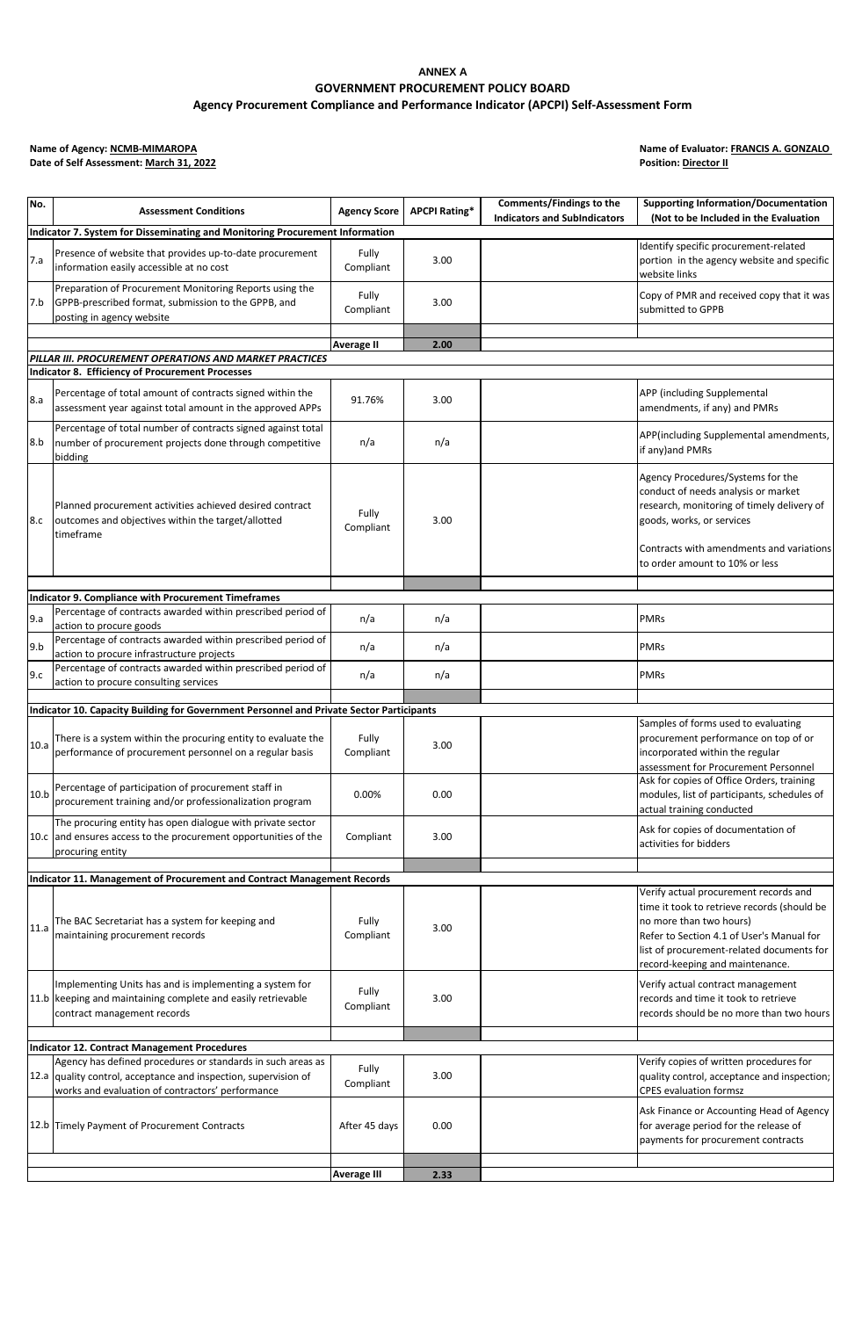# **ANNEX A GOVERNMENT PROCUREMENT POLICY BOARD Agency Procurement Compliance and Performance Indicator (APCPI) Self-Assessment Form**

**Name of Agency: NCMB-MIMAROPA**<br>Date of Self Assessment: March 31, 2022

**Name of Evaluator: <b>FRANCIS A. GONZALO**<br>Position: **Director II** 

| No.  | <b>Assessment Conditions</b>                                                                                                                                                       | <b>Agency Score</b> | <b>APCPI Rating*</b> | Comments/Findings to the<br><b>Indicators and SubIndicators</b> | <b>Supporting Information/Documentation</b><br>(Not to be Included in the Evaluation                                                                                                                                              |
|------|------------------------------------------------------------------------------------------------------------------------------------------------------------------------------------|---------------------|----------------------|-----------------------------------------------------------------|-----------------------------------------------------------------------------------------------------------------------------------------------------------------------------------------------------------------------------------|
|      | Indicator 7. System for Disseminating and Monitoring Procurement Information                                                                                                       |                     |                      |                                                                 |                                                                                                                                                                                                                                   |
| 7.a  | Presence of website that provides up-to-date procurement<br>information easily accessible at no cost                                                                               | Fully<br>Compliant  | 3.00                 |                                                                 | Identify specific procurement-related<br>portion in the agency website and specific<br>website links                                                                                                                              |
| 7.b  | Preparation of Procurement Monitoring Reports using the<br>GPPB-prescribed format, submission to the GPPB, and<br>posting in agency website                                        | Fully<br>Compliant  | 3.00                 |                                                                 | Copy of PMR and received copy that it was<br>submitted to GPPB                                                                                                                                                                    |
|      |                                                                                                                                                                                    |                     |                      |                                                                 |                                                                                                                                                                                                                                   |
|      | PILLAR III. PROCUREMENT OPERATIONS AND MARKET PRACTICES                                                                                                                            | Average II          | 2.00                 |                                                                 |                                                                                                                                                                                                                                   |
|      | <b>Indicator 8. Efficiency of Procurement Processes</b>                                                                                                                            |                     |                      |                                                                 |                                                                                                                                                                                                                                   |
| 8.a  | Percentage of total amount of contracts signed within the<br>assessment year against total amount in the approved APPs                                                             | 91.76%              | 3.00                 |                                                                 | APP (including Supplemental<br>amendments, if any) and PMRs                                                                                                                                                                       |
| 8.b  | Percentage of total number of contracts signed against total<br>number of procurement projects done through competitive<br>bidding                                                 | n/a                 | n/a                  |                                                                 | APP(including Supplemental amendments,<br>if any) and PMRs                                                                                                                                                                        |
| 8.c  | Planned procurement activities achieved desired contract<br>outcomes and objectives within the target/allotted<br>timeframe                                                        | Fully<br>Compliant  | 3.00                 |                                                                 | Agency Procedures/Systems for the<br>conduct of needs analysis or market<br>research, monitoring of timely delivery of<br>goods, works, or services<br>Contracts with amendments and variations<br>to order amount to 10% or less |
|      |                                                                                                                                                                                    |                     |                      |                                                                 |                                                                                                                                                                                                                                   |
|      | <b>Indicator 9. Compliance with Procurement Timeframes</b>                                                                                                                         |                     |                      |                                                                 |                                                                                                                                                                                                                                   |
| 9.a  | Percentage of contracts awarded within prescribed period of<br>action to procure goods                                                                                             | n/a                 | n/a                  |                                                                 | PMRs                                                                                                                                                                                                                              |
| 9.b  | Percentage of contracts awarded within prescribed period of<br>action to procure infrastructure projects                                                                           | n/a                 | n/a                  |                                                                 | <b>PMRs</b>                                                                                                                                                                                                                       |
| 9.c  | Percentage of contracts awarded within prescribed period of<br>action to procure consulting services                                                                               | n/a                 | n/a                  |                                                                 | <b>PMRs</b>                                                                                                                                                                                                                       |
|      |                                                                                                                                                                                    |                     |                      |                                                                 |                                                                                                                                                                                                                                   |
|      | Indicator 10. Capacity Building for Government Personnel and Private Sector Participants                                                                                           |                     |                      |                                                                 |                                                                                                                                                                                                                                   |
| 10.a | There is a system within the procuring entity to evaluate the<br>performance of procurement personnel on a regular basis                                                           | Fully<br>Compliant  | 3.00                 |                                                                 | Samples of forms used to evaluating<br>procurement performance on top of or<br>incorporated within the regular<br>assessment for Procurement Personnel                                                                            |
| 10.b | Percentage of participation of procurement staff in<br>procurement training and/or professionalization program                                                                     | 0.00%               | 0.00                 |                                                                 | Ask for copies of Office Orders, training<br>modules, list of participants, schedules of<br>actual training conducted                                                                                                             |
|      | The procuring entity has open dialogue with private sector<br>10.c and ensures access to the procurement opportunities of the<br>procuring entity                                  | Compliant           | 3.00                 |                                                                 | Ask for copies of documentation of<br>activities for bidders                                                                                                                                                                      |
|      |                                                                                                                                                                                    |                     |                      |                                                                 |                                                                                                                                                                                                                                   |
|      | Indicator 11. Management of Procurement and Contract Management Records                                                                                                            |                     |                      |                                                                 | Verify actual procurement records and                                                                                                                                                                                             |
| 11.a | The BAC Secretariat has a system for keeping and<br>maintaining procurement records                                                                                                | Fully<br>Compliant  | 3.00                 |                                                                 | time it took to retrieve records (should be<br>no more than two hours)<br>Refer to Section 4.1 of User's Manual for<br>list of procurement-related documents for<br>record-keeping and maintenance.                               |
|      | Implementing Units has and is implementing a system for<br>11.b keeping and maintaining complete and easily retrievable<br>contract management records                             | Fully<br>Compliant  | 3.00                 |                                                                 | Verify actual contract management<br>records and time it took to retrieve<br>records should be no more than two hours                                                                                                             |
|      | <b>Indicator 12. Contract Management Procedures</b>                                                                                                                                |                     |                      |                                                                 |                                                                                                                                                                                                                                   |
|      | Agency has defined procedures or standards in such areas as<br>12.a quality control, acceptance and inspection, supervision of<br>works and evaluation of contractors' performance | Fully<br>Compliant  | 3.00                 |                                                                 | Verify copies of written procedures for<br>quality control, acceptance and inspection;<br><b>CPES evaluation formsz</b>                                                                                                           |
|      | 12.b Timely Payment of Procurement Contracts                                                                                                                                       | After 45 days       | 0.00                 |                                                                 | Ask Finance or Accounting Head of Agency<br>for average period for the release of<br>payments for procurement contracts                                                                                                           |
|      |                                                                                                                                                                                    |                     |                      |                                                                 |                                                                                                                                                                                                                                   |
|      |                                                                                                                                                                                    | <b>Average III</b>  | 2.33                 |                                                                 |                                                                                                                                                                                                                                   |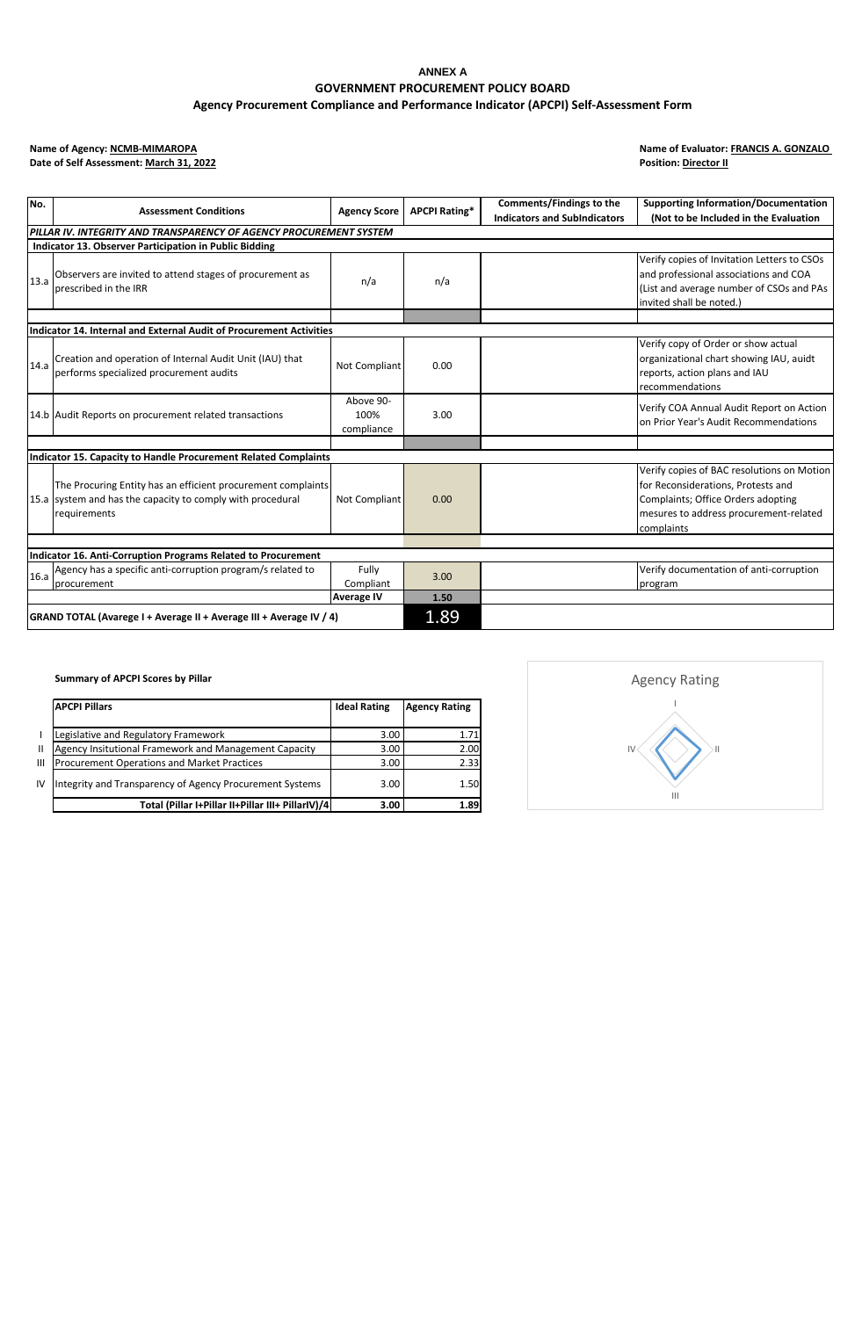# **ANNEX A GOVERNMENT PROCUREMENT POLICY BOARD Agency Procurement Compliance and Performance Indicator (APCPI) Self-Assessment Form**

**Name of Agency: NCMB-MIMAROPA**<br>Date of Self Assessment: March 31, 2022

**Name of Evaluator: <b>FRANCIS A. GONZALO**<br>Position: **Director II** 

| No.                                                                 | <b>Assessment Conditions</b>                                                                        | <b>Agency Score</b> | <b>APCPI Rating*</b> | Comments/Findings to the            | <b>Supporting Information/Documentation</b> |
|---------------------------------------------------------------------|-----------------------------------------------------------------------------------------------------|---------------------|----------------------|-------------------------------------|---------------------------------------------|
|                                                                     |                                                                                                     |                     |                      | <b>Indicators and SubIndicators</b> | (Not to be Included in the Evaluation       |
|                                                                     | PILLAR IV. INTEGRITY AND TRANSPARENCY OF AGENCY PROCUREMENT SYSTEM                                  |                     |                      |                                     |                                             |
|                                                                     | Indicator 13. Observer Participation in Public Bidding                                              |                     |                      |                                     |                                             |
|                                                                     |                                                                                                     |                     |                      |                                     | Verify copies of Invitation Letters to CSOs |
| 13.a                                                                | Observers are invited to attend stages of procurement as                                            | n/a                 | n/a                  |                                     | and professional associations and COA       |
|                                                                     | prescribed in the IRR                                                                               |                     |                      |                                     | (List and average number of CSOs and PAs    |
|                                                                     |                                                                                                     |                     |                      |                                     | invited shall be noted.)                    |
|                                                                     |                                                                                                     |                     |                      |                                     |                                             |
|                                                                     | Indicator 14. Internal and External Audit of Procurement Activities                                 |                     |                      |                                     |                                             |
|                                                                     |                                                                                                     |                     |                      |                                     | Verify copy of Order or show actual         |
| 14.a                                                                | Creation and operation of Internal Audit Unit (IAU) that<br>performs specialized procurement audits | Not Compliant       | 0.00                 |                                     | organizational chart showing IAU, auidt     |
|                                                                     |                                                                                                     |                     |                      |                                     | reports, action plans and IAU               |
|                                                                     |                                                                                                     |                     |                      |                                     | recommendations                             |
|                                                                     |                                                                                                     | Above 90-           |                      |                                     | Verify COA Annual Audit Report on Action    |
|                                                                     | 14.b Audit Reports on procurement related transactions                                              | 100%                | 3.00                 |                                     | on Prior Year's Audit Recommendations       |
|                                                                     |                                                                                                     | compliance          |                      |                                     |                                             |
|                                                                     |                                                                                                     |                     |                      |                                     |                                             |
|                                                                     | Indicator 15. Capacity to Handle Procurement Related Complaints                                     |                     |                      |                                     |                                             |
|                                                                     |                                                                                                     |                     |                      |                                     | Verify copies of BAC resolutions on Motion  |
|                                                                     | The Procuring Entity has an efficient procurement complaints                                        |                     |                      |                                     | for Reconsiderations, Protests and          |
|                                                                     | 15.a system and has the capacity to comply with procedural                                          | Not Compliant       | 0.00                 |                                     | Complaints; Office Orders adopting          |
|                                                                     | requirements                                                                                        |                     |                      |                                     | mesures to address procurement-related      |
|                                                                     |                                                                                                     |                     |                      |                                     | complaints                                  |
|                                                                     |                                                                                                     |                     |                      |                                     |                                             |
|                                                                     | Indicator 16. Anti-Corruption Programs Related to Procurement                                       |                     |                      |                                     |                                             |
| 16.a                                                                | Agency has a specific anti-corruption program/s related to                                          | Fully               | 3.00                 |                                     | Verify documentation of anti-corruption     |
|                                                                     | procurement                                                                                         | Compliant           |                      |                                     | program                                     |
|                                                                     |                                                                                                     | <b>Average IV</b>   | 1.50                 |                                     |                                             |
| GRAND TOTAL (Avarege I + Average II + Average III + Average IV / 4) |                                                                                                     |                     | 1.89                 |                                     |                                             |

**Summary of APCPI Scores by Pillar**

|              | <b>APCPI Pillars</b>                                     | <b>Ideal Rating</b> | <b>Agency Rating</b> |
|--------------|----------------------------------------------------------|---------------------|----------------------|
|              | Legislative and Regulatory Framework                     | 3.00                | 1.71                 |
| $\mathbf{H}$ | Agency Insitutional Framework and Management Capacity    | 3.00                | 2.00                 |
| Ш            | <b>Procurement Operations and Market Practices</b>       | 3.00                | 2.33                 |
| IV           | Integrity and Transparency of Agency Procurement Systems | 3.00                | 1.50                 |
|              | Total (Pillar I+Pillar II+Pillar III+ PillarIV)/4        | 3.00                | 1.89                 |

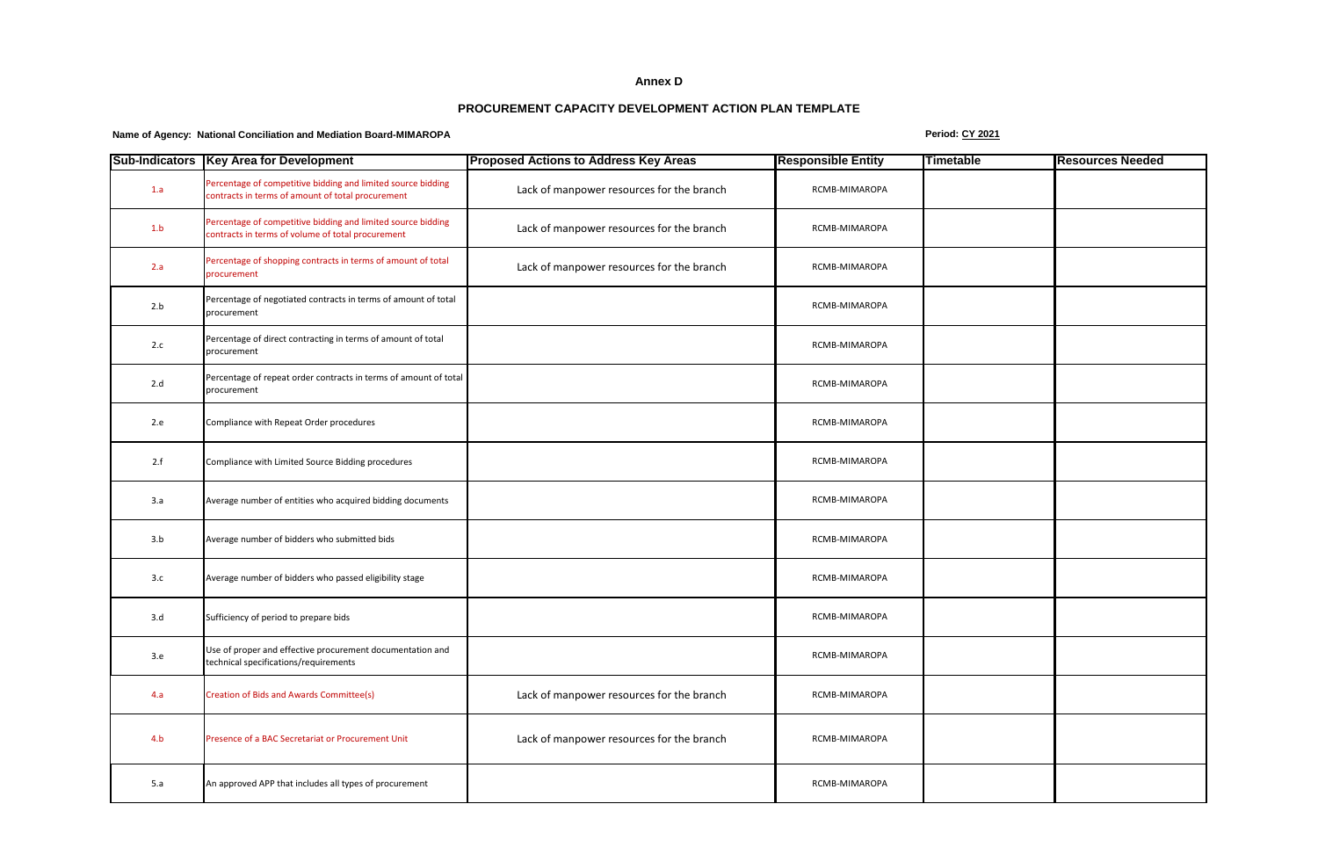#### **Annex D**

## **PROCUREMENT CAPACITY DEVELOPMENT ACTION PLAN TEMPLATE**

## **Name of Agency: National Conciliation and Mediation Board-MIMAROPA Period: CY 2021**

|     | Sub-Indicators   Key Area for Development                                                                         | <b>Proposed Actions to Address Key Areas</b> | <b>Responsible Entity</b> | Timetable | <b>Resources Needed</b> |
|-----|-------------------------------------------------------------------------------------------------------------------|----------------------------------------------|---------------------------|-----------|-------------------------|
| 1.a | Percentage of competitive bidding and limited source bidding<br>contracts in terms of amount of total procurement | Lack of manpower resources for the branch    | RCMB-MIMAROPA             |           |                         |
| 1.b | Percentage of competitive bidding and limited source bidding<br>contracts in terms of volume of total procurement | Lack of manpower resources for the branch    | RCMB-MIMAROPA             |           |                         |
| 2.a | Percentage of shopping contracts in terms of amount of total<br>procurement                                       | Lack of manpower resources for the branch    | RCMB-MIMAROPA             |           |                         |
| 2.b | Percentage of negotiated contracts in terms of amount of total<br>procurement                                     |                                              | RCMB-MIMAROPA             |           |                         |
| 2.c | Percentage of direct contracting in terms of amount of total<br>procurement                                       |                                              | RCMB-MIMAROPA             |           |                         |
| 2.d | Percentage of repeat order contracts in terms of amount of total<br>procurement                                   |                                              | RCMB-MIMAROPA             |           |                         |
| 2.e | Compliance with Repeat Order procedures                                                                           |                                              | RCMB-MIMAROPA             |           |                         |
| 2.f | Compliance with Limited Source Bidding procedures                                                                 |                                              | RCMB-MIMAROPA             |           |                         |
| 3.a | Average number of entities who acquired bidding documents                                                         |                                              | RCMB-MIMAROPA             |           |                         |
| 3.b | Average number of bidders who submitted bids                                                                      |                                              | RCMB-MIMAROPA             |           |                         |
| 3.c | Average number of bidders who passed eligibility stage                                                            |                                              | RCMB-MIMAROPA             |           |                         |
| 3.d | Sufficiency of period to prepare bids                                                                             |                                              | RCMB-MIMAROPA             |           |                         |
| 3.e | Use of proper and effective procurement documentation and<br>technical specifications/requirements                |                                              | RCMB-MIMAROPA             |           |                         |
| 4.a | <b>Creation of Bids and Awards Committee(s)</b>                                                                   | Lack of manpower resources for the branch    | RCMB-MIMAROPA             |           |                         |
| 4.b | Presence of a BAC Secretariat or Procurement Unit                                                                 | Lack of manpower resources for the branch    | RCMB-MIMAROPA             |           |                         |
| 5.a | An approved APP that includes all types of procurement                                                            |                                              | RCMB-MIMAROPA             |           |                         |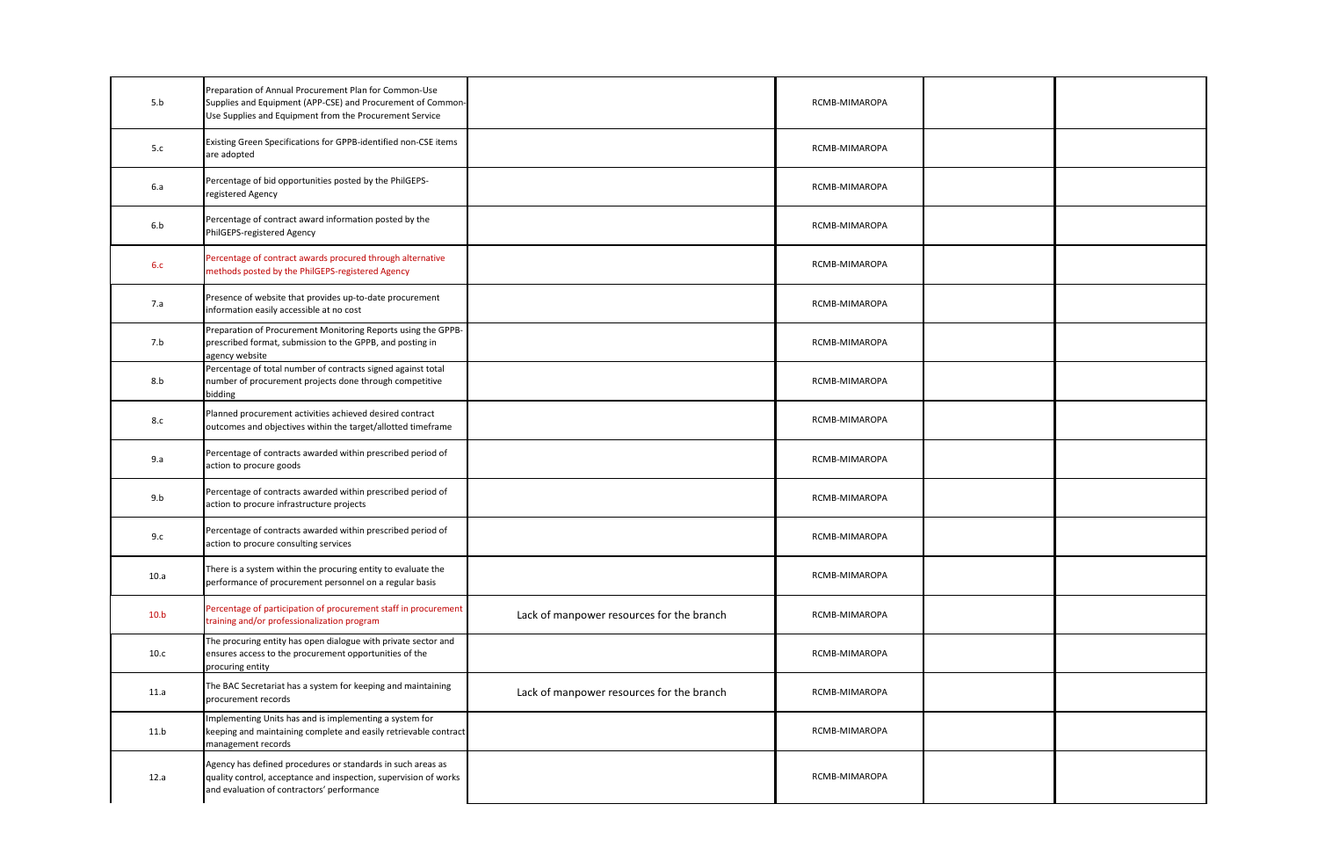| 5.b  | Preparation of Annual Procurement Plan for Common-Use<br>Supplies and Equipment (APP-CSE) and Procurement of Common-<br>Use Supplies and Equipment from the Procurement Service |                                           | RCMB-MIMAROPA |  |
|------|---------------------------------------------------------------------------------------------------------------------------------------------------------------------------------|-------------------------------------------|---------------|--|
| 5.c  | Existing Green Specifications for GPPB-identified non-CSE items<br>are adopted                                                                                                  |                                           | RCMB-MIMAROPA |  |
| 6.a  | Percentage of bid opportunities posted by the PhilGEPS-<br>registered Agency                                                                                                    |                                           | RCMB-MIMAROPA |  |
| 6.b  | Percentage of contract award information posted by the<br>PhilGEPS-registered Agency                                                                                            |                                           | RCMB-MIMAROPA |  |
| 6.c  | Percentage of contract awards procured through alternative<br>methods posted by the PhilGEPS-registered Agency                                                                  |                                           | RCMB-MIMAROPA |  |
| 7.a  | Presence of website that provides up-to-date procurement<br>information easily accessible at no cost                                                                            |                                           | RCMB-MIMAROPA |  |
| 7.b  | Preparation of Procurement Monitoring Reports using the GPPB-<br>prescribed format, submission to the GPPB, and posting in<br>agency website                                    |                                           | RCMB-MIMAROPA |  |
| 8.b  | Percentage of total number of contracts signed against total<br>number of procurement projects done through competitive<br>bidding                                              |                                           | RCMB-MIMAROPA |  |
| 8.c  | Planned procurement activities achieved desired contract<br>outcomes and objectives within the target/allotted timeframe                                                        |                                           | RCMB-MIMAROPA |  |
| 9.a  | Percentage of contracts awarded within prescribed period of<br>action to procure goods                                                                                          |                                           | RCMB-MIMAROPA |  |
| 9.b  | Percentage of contracts awarded within prescribed period of<br>action to procure infrastructure projects                                                                        |                                           | RCMB-MIMAROPA |  |
| 9.c  | Percentage of contracts awarded within prescribed period of<br>action to procure consulting services                                                                            |                                           | RCMB-MIMAROPA |  |
| 10.a | There is a system within the procuring entity to evaluate the<br>performance of procurement personnel on a regular basis                                                        |                                           | RCMB-MIMAROPA |  |
| 10.b | Percentage of participation of procurement staff in procurement<br>training and/or professionalization program                                                                  | Lack of manpower resources for the branch | RCMB-MIMAROPA |  |
| 10.c | The procuring entity has open dialogue with private sector and<br>ensures access to the procurement opportunities of the<br>procuring entity                                    |                                           | RCMB-MIMAROPA |  |
| 11.a | The BAC Secretariat has a system for keeping and maintaining<br>procurement records                                                                                             | Lack of manpower resources for the branch | RCMB-MIMAROPA |  |
| 11.b | mplementing Units has and is implementing a system for<br>keeping and maintaining complete and easily retrievable contract<br>management records                                |                                           | RCMB-MIMAROPA |  |
| 12.a | Agency has defined procedures or standards in such areas as<br>quality control, acceptance and inspection, supervision of works<br>and evaluation of contractors' performance   |                                           | RCMB-MIMAROPA |  |